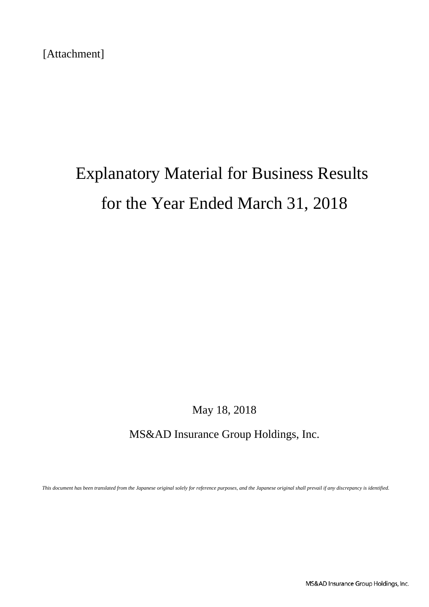[Attachment]

# Explanatory Material for Business Results for the Year Ended March 31, 2018

May 18, 2018

MS&AD Insurance Group Holdings, Inc.

*This document has been translated from the Japanese original solely for reference purposes, and the Japanese original shall prevail if any discrepancy is identified.*

MS&AD Insurance Group Holdings, Inc.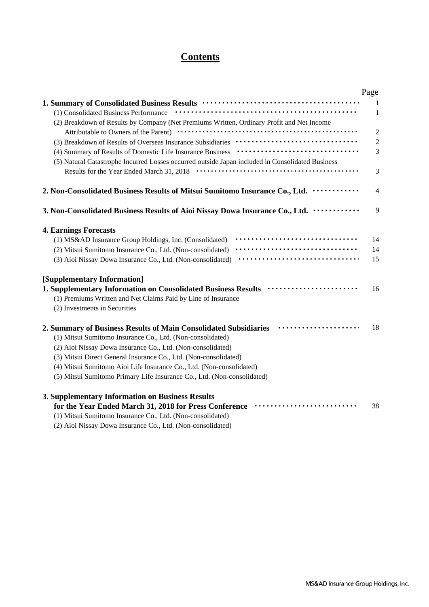## **Contents**

|                                                                                                  | Page           |
|--------------------------------------------------------------------------------------------------|----------------|
|                                                                                                  | 1              |
| (1) Consolidated Business Performance                                                            | 1              |
| (2) Breakdown of Results by Company (Net Premiums Written, Ordinary Profit and Net Income        |                |
|                                                                                                  | $\overline{2}$ |
|                                                                                                  | $\overline{c}$ |
|                                                                                                  | 3              |
| (5) Natural Catastrophe Incurred Losses occurred outside Japan included in Consolidated Business |                |
| Results for the Year Ended March 31, 2018                                                        | 3              |
| 2. Non-Consolidated Business Results of Mitsui Sumitomo Insurance Co., Ltd.                      | 4              |
| 3. Non-Consolidated Business Results of Aioi Nissay Dowa Insurance Co., Ltd.                     | 9              |
| <b>4. Earnings Forecasts</b>                                                                     |                |
| (1) MS&AD Insurance Group Holdings, Inc. (Consolidated)                                          | 14             |
| (2) Mitsui Sumitomo Insurance Co., Ltd. (Non-consolidated)                                       | 14             |
| (3) Aioi Nissay Dowa Insurance Co., Ltd. (Non-consolidated)                                      | 15             |
| [Supplementary Information]                                                                      |                |
| 1. Supplementary Information on Consolidated Business Results                                    | 16             |
| (1) Premiums Written and Net Claims Paid by Line of Insurance                                    |                |
| (2) Investments in Securities                                                                    |                |
| 2. Summary of Business Results of Main Consolidated Subsidiaries                                 | 18             |
| (1) Mitsui Sumitomo Insurance Co., Ltd. (Non-consolidated)                                       |                |
| (2) Aioi Nissay Dowa Insurance Co., Ltd. (Non-consolidated)                                      |                |
| (3) Mitsui Direct General Insurance Co., Ltd. (Non-consolidated)                                 |                |
| (4) Mitsui Sumitomo Aioi Life Insurance Co., Ltd. (Non-consolidated)                             |                |
| (5) Mitsui Sumitomo Primary Life Insurance Co., Ltd. (Non-consolidated)                          |                |
| 3. Supplementary Information on Business Results                                                 |                |
| for the Year Ended March 31, 2018 for Press Conference                                           | 38             |
| (1) Mitsui Sumitomo Insurance Co., Ltd. (Non-consolidated)                                       |                |
|                                                                                                  |                |

(2) Aioi Nissay Dowa Insurance Co., Ltd. (Non-consolidated)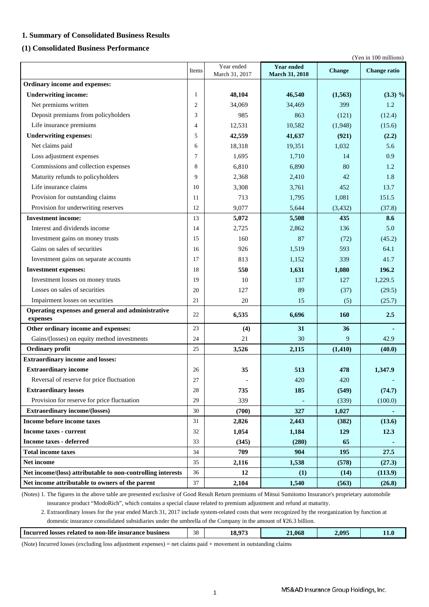### **1. Summary of Consolidated Business Results**

### **(1) Consolidated Business Performance**

(Yen in 100 millions)

|                                                               | Items          | Year ended<br>March 31, 2017 | <b>Year ended</b><br>March 31, 2018 | <b>Change</b> | <b>Change ratio</b> |
|---------------------------------------------------------------|----------------|------------------------------|-------------------------------------|---------------|---------------------|
| Ordinary income and expenses:                                 |                |                              |                                     |               |                     |
| <b>Underwriting income:</b>                                   | 1              | 48,104                       | 46,540                              | (1,563)       | $(3.3) \%$          |
| Net premiums written                                          | $\mathfrak{2}$ | 34,069                       | 34,469                              | 399           | 1.2                 |
| Deposit premiums from policyholders                           | 3              | 985                          | 863                                 | (121)         | (12.4)              |
| Life insurance premiums                                       | 4              | 12,531                       | 10,582                              | (1,948)       | (15.6)              |
| <b>Underwriting expenses:</b>                                 | 5              | 42,559                       | 41,637                              | (921)         | (2.2)               |
| Net claims paid                                               | 6              | 18,318                       | 19,351                              | 1,032         | 5.6                 |
| Loss adjustment expenses                                      | 7              | 1,695                        | 1,710                               | 14            | 0.9                 |
| Commissions and collection expenses                           | 8              | 6,810                        | 6,890                               | 80            | 1.2                 |
| Maturity refunds to policyholders                             | 9              | 2,368                        | 2,410                               | 42            | 1.8                 |
| Life insurance claims                                         | 10             | 3,308                        | 3,761                               | 452           | 13.7                |
| Provision for outstanding claims                              | 11             | 713                          | 1,795                               | 1,081         | 151.5               |
| Provision for underwriting reserves                           | 12             | 9,077                        | 5,644                               | (3, 432)      | (37.8)              |
| <b>Investment income:</b>                                     | 13             | 5,072                        | 5,508                               | 435           | 8.6                 |
| Interest and dividends income                                 | 14             | 2,725                        | 2,862                               | 136           | 5.0                 |
| Investment gains on money trusts                              | 15             | 160                          | 87                                  | (72)          | (45.2)              |
| Gains on sales of securities                                  | 16             | 926                          | 1,519                               | 593           | 64.1                |
| Investment gains on separate accounts                         | 17             | 813                          | 1,152                               | 339           | 41.7                |
| <b>Investment expenses:</b>                                   | 18             | 550                          | 1,631                               | 1,080         | 196.2               |
| Investment losses on money trusts                             | 19             | 10                           | 137                                 | 127           | 1,229.5             |
| Losses on sales of securities                                 | 20             | 127                          | 89                                  | (37)          | (29.5)              |
| Impairment losses on securities                               | 21             | 20                           | 15                                  | (5)           | (25.7)              |
| Operating expenses and general and administrative<br>expenses | 22             | 6,535                        | 6,696                               | 160           | 2.5                 |
| Other ordinary income and expenses:                           | 23             | (4)                          | 31                                  | 36            |                     |
| Gains/(losses) on equity method investments                   | 24             | 21                           | 30                                  | 9             | 42.9                |
| Ordinary profit                                               | 25             | 3,526                        | 2,115                               | (1, 410)      | (40.0)              |
| <b>Extraordinary income and losses:</b>                       |                |                              |                                     |               |                     |
| <b>Extraordinary income</b>                                   | 26             | 35                           | 513                                 | 478           | 1,347.9             |
| Reversal of reserve for price fluctuation                     | 27             |                              | 420                                 | 420           |                     |
| <b>Extraordinary losses</b>                                   | 28             | 735                          | 185                                 | (549)         | (74.7)              |
| Provision for reserve for price fluctuation                   | 29             | 339                          |                                     | (339)         | (100.0)             |
| <b>Extraordinary income/(losses)</b>                          | 30             | (700)                        | 327                                 | 1,027         |                     |
| Income before income taxes                                    | 31             | 2,826                        | 2,443                               | (382)         | (13.6)              |
| <b>Income taxes - current</b>                                 | 32             | 1,054                        | 1,184                               | 129           | 12.3                |
| <b>Income taxes - deferred</b>                                | 33             | (345)                        | (280)                               | 65            |                     |
| <b>Total income taxes</b>                                     | 34             | 709                          | 904                                 | 195           | 27.5                |
| Net income                                                    | 35             | 2,116                        | 1,538                               | (578)         | (27.3)              |
| Net income/(loss) attributable to non-controlling interests   | 36             | 12                           | (1)                                 | (14)          | (113.9)             |
| Net income attributable to owners of the parent               | 37             | 2,104                        | 1,540                               | (563)         | (26.8)              |

 insurance product "ModoRich", which contains a special clause related to premium adjustment and refund at maturity. (Notes) 1. The figures in the above table are presented exclusive of Good Result Return premiums of Mitsui Sumitomo Insurance's proprietary automobile

 2. Extraordinary losses for the year ended March 31, 2017 include system-related costs that were recognized by the reorganization by function at domestic insurance consolidated subsidiaries under the umbrella of the Company in the amount of ¥26.3 billion.

| .<br>18.97?<br>οc<br>4.09''<br>21.068<br>business<br>· related<br><b>losses</b><br>Incurred<br><b>nsurance</b> :<br>non-life »<br>- to<br>20.<br>__<br>$\sim$ |  |  |      |
|---------------------------------------------------------------------------------------------------------------------------------------------------------------|--|--|------|
|                                                                                                                                                               |  |  | 11.U |

(Note) Incurred losses (excluding loss adjustment expenses) = net claims paid + movement in outstanding claims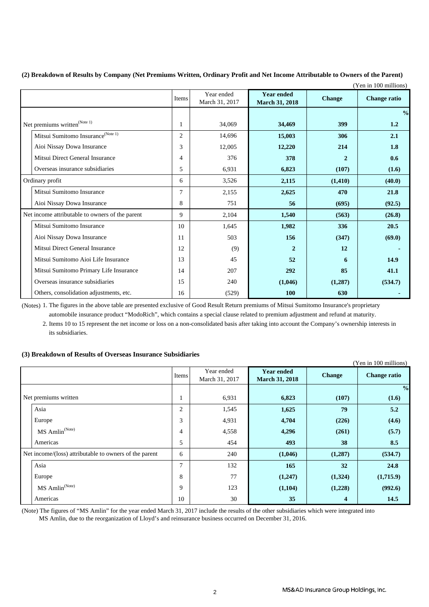|                                                 |                |                              |                                            |                | (Yen in 100 millions) |
|-------------------------------------------------|----------------|------------------------------|--------------------------------------------|----------------|-----------------------|
|                                                 | Items          | Year ended<br>March 31, 2017 | <b>Year ended</b><br><b>March 31, 2018</b> | <b>Change</b>  | <b>Change ratio</b>   |
|                                                 |                |                              |                                            |                | $\frac{0}{0}$         |
| Net premiums written $^{\text{(Note 1)}}$       | 1              | 34,069                       | 34,469                                     | 399            | 1.2                   |
| Mitsui Sumitomo Insurance <sup>(Note 1)</sup>   | $\overline{c}$ | 14.696                       | 15,003                                     | 306            | 2.1                   |
| Aioi Nissay Dowa Insurance                      | 3              | 12,005                       | 12,220                                     | 214            | 1.8                   |
| Mitsui Direct General Insurance                 | 4              | 376                          | 378                                        | $\overline{2}$ | 0.6                   |
| Overseas insurance subsidiaries                 | 5              | 6,931                        | 6,823                                      | (107)          | (1.6)                 |
| Ordinary profit                                 | 6              | 3,526                        | 2,115                                      | (1, 410)       | (40.0)                |
| Mitsui Sumitomo Insurance                       | 7              | 2,155                        | 2,625                                      | 470            | 21.8                  |
| Aioi Nissay Dowa Insurance                      | 8              | 751                          | 56                                         | (695)          | (92.5)                |
| Net income attributable to owners of the parent | 9              | 2,104                        | 1,540                                      | (563)          | (26.8)                |
| Mitsui Sumitomo Insurance                       | 10             | 1,645                        | 1,982                                      | 336            | 20.5                  |
| Aioi Nissay Dowa Insurance                      | 11             | 503                          | 156                                        | (347)          | (69.0)                |
| Mitsui Direct General Insurance                 | 12             | (9)                          | $\overline{2}$                             | 12             |                       |
| Mitsui Sumitomo Aioi Life Insurance             | 13             | 45                           | 52                                         | 6              | 14.9                  |
| Mitsui Sumitomo Primary Life Insurance          | 14             | 207                          | 292                                        | 85             | 41.1                  |
| Overseas insurance subsidiaries                 | 15             | 240                          | (1,046)                                    | (1,287)        | (534.7)               |
| Others, consolidation adjustments, etc.         | 16             | (529)                        | 100                                        | 630            |                       |

**(2) Breakdown of Results by Company (Net Premiums Written, Ordinary Profit and Net Income Attributable to Owners of the Parent)**

(Notes) 1. The figures in the above table are presented exclusive of Good Result Return premiums of Mitsui Sumitomo Insurance's proprietary automobile insurance product "ModoRich", which contains a special clause related to premium adjustment and refund at maturity.

2. Items 10 to 15 represent the net income or loss on a non-consolidated basis after taking into account the Company's ownership interests in its subsidiaries.

### **(3) Breakdown of Results of Overseas Insurance Subsidiaries**

|                                                        |       |                              |                                            |               | (Yen in 100 millions) |
|--------------------------------------------------------|-------|------------------------------|--------------------------------------------|---------------|-----------------------|
|                                                        | Items | Year ended<br>March 31, 2017 | <b>Year ended</b><br><b>March 31, 2018</b> | <b>Change</b> | <b>Change ratio</b>   |
|                                                        |       |                              |                                            |               | $\frac{0}{0}$         |
| Net premiums written                                   | Τ.    | 6,931                        | 6,823                                      | (107)         | (1.6)                 |
| Asia                                                   | 2     | 1,545                        | 1,625                                      | 79            | 5.2                   |
| Europe                                                 | 3     | 4,931                        | 4,704                                      | (226)         | (4.6)                 |
| MS Amlin <sup>(Note)</sup>                             | 4     | 4,558                        | 4,296                                      | (261)         | (5.7)                 |
| Americas                                               | 5     | 454                          | 493                                        | 38            | 8.5                   |
| Net income/(loss) attributable to owners of the parent | 6     | 240                          | (1,046)                                    | (1,287)       | (534.7)               |
| Asia                                                   | 7     | 132                          | 165                                        | 32            | 24.8                  |
| Europe                                                 | 8     | 77                           | (1,247)                                    | (1,324)       | (1,715.9)             |
| MS Amlin <sup>(Note)</sup>                             | 9     | 123                          | (1,104)                                    | (1,228)       | (992.6)               |
| Americas                                               | 10    | 30                           | 35                                         | 4             | 14.5                  |

(Note) The figures of "MS Amlin" for the year ended March 31, 2017 include the results of the other subsidiaries which were integrated into MS Amlin, due to the reorganization of Lloyd's and reinsurance business occurred on December 31, 2016.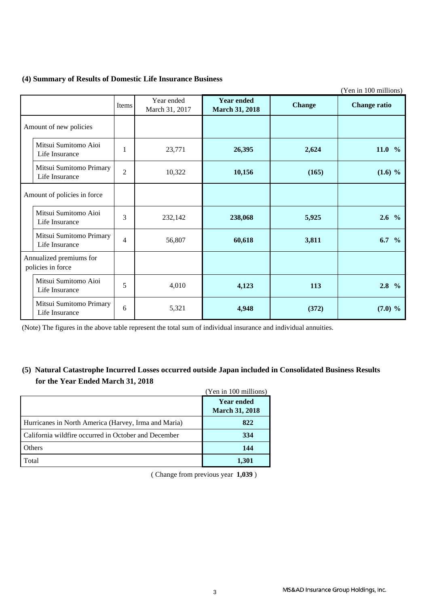### **(4) Summary of Results of Domestic Life Insurance Business**

|                                              |                |                              |                                            |               | (Yen in 100 millions) |
|----------------------------------------------|----------------|------------------------------|--------------------------------------------|---------------|-----------------------|
|                                              | Items          | Year ended<br>March 31, 2017 | <b>Year ended</b><br><b>March 31, 2018</b> | <b>Change</b> | <b>Change ratio</b>   |
| Amount of new policies                       |                |                              |                                            |               |                       |
| Mitsui Sumitomo Aioi<br>Life Insurance       | $\mathbf{1}$   | 23,771                       | 26,395                                     | 2,624         | 11.0 $%$              |
| Mitsui Sumitomo Primary<br>Life Insurance    | $\overline{2}$ | 10,322                       | 10,156                                     | (165)         | $(1.6)$ %             |
| Amount of policies in force                  |                |                              |                                            |               |                       |
| Mitsui Sumitomo Aioi<br>Life Insurance       | 3              | 232,142                      | 238,068                                    | 5,925         | $2.6\%$               |
| Mitsui Sumitomo Primary<br>Life Insurance    | $\overline{4}$ | 56,807                       | 60,618                                     | 3,811         | $6.7\%$               |
| Annualized premiums for<br>policies in force |                |                              |                                            |               |                       |
| Mitsui Sumitomo Aioi<br>Life Insurance       | 5              | 4,010                        | 4,123                                      | 113           | $2.8\,%$              |
| Mitsui Sumitomo Primary<br>Life Insurance    | 6              | 5,321                        | 4,948                                      | (372)         | $(7.0)$ %             |

(Note) The figures in the above table represent the total sum of individual insurance and individual annuities.

### **(5) Natural Catastrophe Incurred Losses occurred outside Japan included in Consolidated Business Results for the Year Ended March 31, 2018**

|                                                      | (Yen in 100 millions)                      |
|------------------------------------------------------|--------------------------------------------|
|                                                      | <b>Year ended</b><br><b>March 31, 2018</b> |
| Hurricanes in North America (Harvey, Irma and Maria) | 822                                        |
| California wildfire occurred in October and December | 334                                        |
| Others                                               | 144                                        |
| Total                                                | 1,301                                      |

( Change from previous year **1,039** )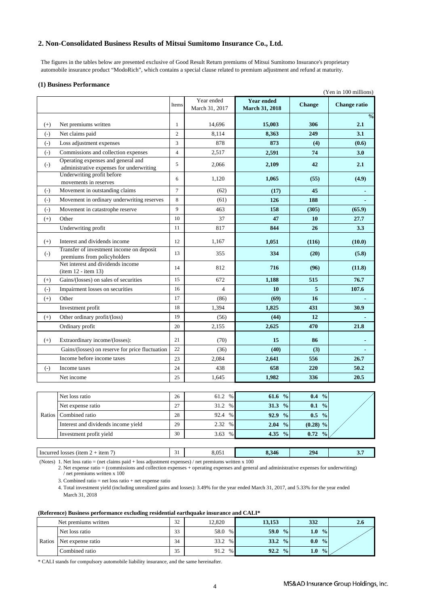### **2. Non-Consolidated Business Results of Mitsui Sumitomo Insurance Co., Ltd.**

 The figures in the tables below are presented exclusive of Good Result Return premiums of Mitsui Sumitomo Insurance's proprietary automobile insurance product "ModoRich", which contains a special clause related to premium adjustment and refund at maturity.

#### **(1) Business Performance**

|                   |                                                                                |                |                              |                                            |                      | (Yen in 100 millions) |
|-------------------|--------------------------------------------------------------------------------|----------------|------------------------------|--------------------------------------------|----------------------|-----------------------|
|                   |                                                                                | Items          | Year ended<br>March 31, 2017 | <b>Year ended</b><br><b>March 31, 2018</b> | <b>Change</b>        | <b>Change ratio</b>   |
|                   |                                                                                |                |                              |                                            |                      | $\frac{0}{0}$         |
| $(+)$             | Net premiums written                                                           | $\mathbf{1}$   | 14,696                       | 15,003                                     | 306                  | 2.1                   |
| $(-)$             | Net claims paid                                                                | $\overline{c}$ | 8,114                        | 8,363                                      | 249                  | 3.1                   |
| $(-)$             | Loss adjustment expenses                                                       | 3              | 878                          | 873                                        | (4)                  | (0.6)                 |
| $(-)$             | Commissions and collection expenses                                            | $\overline{4}$ | 2,517                        | 2,591                                      | 74                   | 3.0                   |
| $\left( -\right)$ | Operating expenses and general and<br>administrative expenses for underwriting | 5              | 2,066                        | 2,109                                      | 42                   | 2.1                   |
|                   | Underwriting profit before<br>movements in reserves                            | 6              | 1,120                        | 1,065                                      | (55)                 | (4.9)                 |
| $(-)$             | Movement in outstanding claims                                                 | $\overline{7}$ | (62)                         | (17)                                       | 45                   | $\blacksquare$        |
| $(-)$             | Movement in ordinary underwriting reserves                                     | 8              | (61)                         | 126                                        | 188                  |                       |
| $\left( -\right)$ | Movement in catastrophe reserve                                                | 9              | 463                          | 158                                        | (305)                | (65.9)                |
| $(+)$             | Other                                                                          | 10             | 37                           | 47                                         | 10                   | 27.7                  |
|                   | Underwriting profit                                                            | 11             | 817                          | 844                                        | 26                   | 3.3                   |
| $(+)$             | Interest and dividends income                                                  | 12             | 1,167                        | 1,051                                      | (116)                | (10.0)                |
| $\left( -\right)$ | Transfer of investment income on deposit<br>premiums from policyholders        | 13             | 355                          | 334                                        | (20)                 | (5.8)                 |
|                   | Net interest and dividends income<br>$item 12 - item 13)$                      | 14             | 812                          | 716                                        | (96)                 | (11.8)                |
| $(+)$             | Gains/(losses) on sales of securities                                          | 15             | 672                          | 1,188                                      | 515                  | 76.7                  |
| $(-)$             | Impairment losses on securities                                                | 16             | $\overline{4}$               | 10                                         | 5                    | 107.6                 |
| $(+)$             | Other                                                                          | 17             | (86)                         | (69)                                       | 16                   |                       |
|                   | Investment profit                                                              | 18             | 1,394                        | 1,825                                      | 431                  | 30.9                  |
| $(+)$             | Other ordinary profit/(loss)                                                   | 19             | (56)                         | (44)                                       | 12                   |                       |
|                   | Ordinary profit                                                                | 20             | 2,155                        | 2,625                                      | 470                  | 21.8                  |
| $(+)$             | Extraordinary income/(losses):                                                 | 21             | (70)                         | 15                                         | 86                   |                       |
|                   | Gains/(losses) on reserve for price fluctuation                                | 22             | (36)                         | (40)                                       | (3)                  |                       |
|                   | Income before income taxes                                                     | 23             | 2,084                        | 2,641                                      | 556                  | 26.7                  |
| $(-)$             | Income taxes                                                                   | 24             | 438                          | 658                                        | 220                  | 50.2                  |
|                   | Net income                                                                     | 25             | 1,645                        | 1,982                                      | 336                  | 20.5                  |
|                   |                                                                                |                |                              |                                            |                      |                       |
|                   | Net loss ratio                                                                 | 26             | 61.2 %                       | 61.6 %                                     | $\frac{0}{0}$<br>0.4 |                       |
|                   | Net expense ratio                                                              | 27             | 31.2 %                       | $\frac{0}{0}$<br>31.3                      | $0.1\%$              |                       |
| Ratios            | Combined ratio                                                                 | 28             | 92.4 %                       | $\frac{0}{0}$<br>92.9                      | 0.5<br>$\frac{0}{0}$ |                       |
|                   | Interest and dividends income yield                                            | 29             | 2.32 %                       | $2.04\%$                                   | $(0.28)$ %           |                       |

| <sub>1</sub> tem<br>Incurred losses<br>$($ (1tem.)<br><b>_</b>      | ້ | ∍ ∩ ל<br>ບ.ບມ                                                                                                                                                                                                                                                                                  | 8.346 | 20 <sub>4</sub><br>-- | <u>.</u> . |
|---------------------------------------------------------------------|---|------------------------------------------------------------------------------------------------------------------------------------------------------------------------------------------------------------------------------------------------------------------------------------------------|-------|-----------------------|------------|
| $(\mathbf{N}_{\mathbf{a}})$<br>Not loss vatio $=$ (not algimn noid) |   | $\frac{1}{2}$ and $\frac{1}{2}$ diverse $\frac{1}{2}$ are $\frac{1}{2}$ and $\frac{1}{2}$ are $\frac{1}{2}$ are $\frac{1}{2}$ are $\frac{1}{2}$ are $\frac{1}{2}$ and $\frac{1}{2}$ are $\frac{1}{2}$ and $\frac{1}{2}$ are $\frac{1}{2}$ are $\frac{1}{2}$ are $\frac{1}{2}$ are $\frac{1}{2$ |       |                       |            |

Investment profit yield 30 3.63 % **4.35 % 0.72 %**

(Notes) 1. Net loss ratio = (net claims paid + loss adjustment expenses) / net premiums written x 100

2. Net expense ratio = (commissions and collection expenses + operating expenses and general and administrative expenses for underwriting) / net premiums written x 100

3. Combined ratio = net loss ratio + net expense ratio

4. Total investment yield (including unrealized gains and losses): 3.49% for the year ended March 31, 2017, and 5.33% for the year ended March 31, 2018

#### **(Reference) Business performance excluding residential earthquake insurance and CALI\***

|        | Net premiums written | 32<br>ے ر | 12,820       | 13,153                | 332                               | 2.6 |
|--------|----------------------|-----------|--------------|-----------------------|-----------------------------------|-----|
|        | Net loss ratio       | 33<br>ن ر | 58.0<br>%    | 59.0<br>$\frac{0}{0}$ | $1.0\,$<br>$\frac{0}{0}$          |     |
| Ratios | Net expense ratio    | 34        | 33.2<br>$\%$ | 33.2<br>$\frac{0}{0}$ | 0.0<br>$\frac{0}{2}$              |     |
|        | Combined ratio       | 25<br>ر ر | 91.2<br>%    | 92.2<br>$\frac{0}{0}$ | 1.0 <sub>l</sub><br>$\frac{0}{0}$ |     |

\* CALI stands for compulsory automobile liability insurance, and the same hereinafter.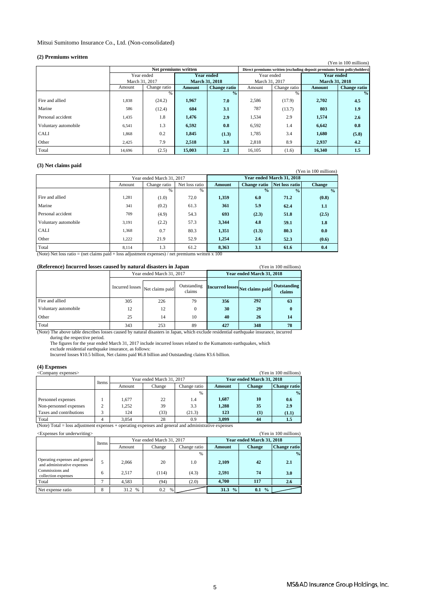### Mitsui Sumitomo Insurance Co., Ltd. (Non-consolidated)

#### **(2) Premiums written**

| $(-) +  +  + $       |                |                      |                       |                     |                                                                         |              |                       | (Yen in 100 millions) |
|----------------------|----------------|----------------------|-----------------------|---------------------|-------------------------------------------------------------------------|--------------|-----------------------|-----------------------|
|                      |                | Net premiums written |                       |                     | Direct premiums written (excluding deposit premiums from policyholders) |              |                       |                       |
|                      | Year ended     |                      | Year ended            |                     | Year ended                                                              |              | <b>Year ended</b>     |                       |
|                      | March 31, 2017 |                      | <b>March 31, 2018</b> |                     | March 31, 2017                                                          |              | <b>March 31, 2018</b> |                       |
|                      | Amount         | Change ratio         | Amount                | <b>Change ratio</b> | Amount                                                                  | Change ratio | Amount                | <b>Change ratio</b>   |
|                      |                | %                    |                       | $\%$                |                                                                         | %            |                       | $\frac{0}{0}$         |
| Fire and allied      | 1,838          | (24.2)               | 1,967                 | 7.0                 | 2,586                                                                   | (17.9)       | 2,702                 | 4.5                   |
| Marine               | 586            | (12.4)               | 604                   | 3.1                 | 787                                                                     | (13.7)       | 803                   | 1.9                   |
| Personal accident    | 1,435          | 1.8                  | 1,476                 | 2.9                 | 1,534                                                                   | 2.9          | 1,574                 | 2.6                   |
| Voluntary automobile | 6,541          | 1.3                  | 6,592                 | 0.8                 | 6,592                                                                   | 1.4          | 6,642                 | 0.8                   |
| <b>CALI</b>          | 1,868          | 0.2                  | 1,845                 | (1.3)               | 1,785                                                                   | 3.4          | 1,680                 | (5.8)                 |
| Other                | 2,425          | 7.9                  | 2,518                 | 3.8                 | 2,818                                                                   | 8.9          | 2,937                 | 4.2                   |
| Total                | 14.696         | (2.5)                | 15,003                | 2.1                 | 16,105                                                                  | (1.6)        | 16,340                | 1.5                   |

#### **(3) Net claims paid**

| $10.727$ $10.000$ $10.0000$ $10.0000$ |        |                           |                |        |                     |                           | (Yen in 100 millions) |
|---------------------------------------|--------|---------------------------|----------------|--------|---------------------|---------------------------|-----------------------|
|                                       |        | Year ended March 31, 2017 |                |        |                     | Year ended March 31, 2018 |                       |
|                                       | Amount | Change ratio              | Net loss ratio | Amount | <b>Change ratio</b> | Net loss ratio            | <b>Change</b>         |
|                                       |        | $\%$                      | $\%$           |        | $\frac{1}{2}$       | $\frac{0}{2}$             | $\frac{0}{2}$         |
| Fire and allied                       | 1,281  | (1.0)                     | 72.0           | 1,359  | 6.0                 | 71.2                      | (0.8)                 |
| Marine                                | 341    | (0.2)                     | 61.3           | 361    | 5.9                 | 62.4                      | 1.1                   |
| Personal accident                     | 709    | (4.9)                     | 54.3           | 693    | (2.3)               | 51.8                      | (2.5)                 |
| Voluntary automobile                  | 3,191  | (2.2)                     | 57.3           | 3.344  | 4.8                 | 59.1                      | 1.8                   |
| <b>CALI</b>                           | 1,368  | 0.7                       | 80.3           | 1,351  | (1.3)               | 80.3                      | 0.0                   |
| Other                                 | 1,222  | 21.9                      | 52.9           | 1,254  | 2.6                 | 52.3                      | (0.6)                 |
| Total                                 | 8,114  | 1.3                       | 61.2           | 8,363  | 3.1                 | 61.6                      | 0.4                   |

(Note) Net loss ratio = (net claims paid + loss adjustment expenses) / net premiums written x 100

| (Reference) Incurred losses caused by natural disasters in Japan |                           |                 |                       |                           |                                 | (Yen in 100 millions) |
|------------------------------------------------------------------|---------------------------|-----------------|-----------------------|---------------------------|---------------------------------|-----------------------|
|                                                                  | Year ended March 31, 2017 |                 |                       | Year ended March 31, 2018 |                                 |                       |
|                                                                  | Incurred losses           | Net claims paid | Outstanding<br>claims |                           | Incurred losses Net claims paid | Outstanding<br>claims |
| Fire and allied                                                  | 305                       | 226             | 79                    | 356                       | 292                             | 63                    |
| Voluntary automobile                                             | 12                        | 12              | $\Omega$              | 30                        | 29                              | 0                     |
| Other                                                            | 25                        | 14              | 10                    | 40                        | 26                              | 14                    |
| Total                                                            | 343                       | 253             | 89                    | 427                       | 348                             | 78                    |

(Note) The above table describes losses caused by natural disasters in Japan, which exclude residential earthquake insurance, incurred

during the respective period.

The figures for the year ended March 31, 2017 include incurred losses related to the Kumamoto earthquakes, which<br>exclude residential earthquake insurance, as follows:<br>Incurred losses ¥10.5 billion, Net claims paid ¥6.8 bil

### **(4) Expenses**

| (Yen in 100 millions)<br><company expenses=""></company> |       |        |                           |              |        |                           |                     |
|----------------------------------------------------------|-------|--------|---------------------------|--------------|--------|---------------------------|---------------------|
|                                                          | Items |        | Year ended March 31, 2017 |              |        | Year ended March 31, 2018 |                     |
|                                                          |       | Amount | Change                    | Change ratio | Amount | <b>Change</b>             | <b>Change ratio</b> |
|                                                          |       |        |                           | %            |        |                           | $\frac{0}{2}$       |
| Personnel expenses                                       |       | 1.677  | 22                        | 1.4          | 1.687  | 10                        | 0.6                 |
| Non-personnel expenses                                   | 2     | 1.252  | 39                        | 3.3          | 1.288  | 35                        | 2.9                 |
| Taxes and contributions                                  | 3     | 124    | (33)                      | (21.3)       | 123    | $\bf(1)$                  | (1.1)               |
| Total                                                    |       | 3.054  | 28                        | 0.9          | 3.099  | 44                        | 1.5                 |

(Note) Total = loss adjustment expenses + operating expenses and general and administrative expenses

| (Yen in 100 millions)<br><expenses for="" underwriting=""></expenses> |       |              |                           |               |                       |                           |               |
|-----------------------------------------------------------------------|-------|--------------|---------------------------|---------------|-----------------------|---------------------------|---------------|
|                                                                       | Items |              | Year ended March 31, 2017 |               |                       | Year ended March 31, 2018 |               |
|                                                                       |       | Amount       | Change                    | Change ratio  | Amount                | <b>Change</b>             | Change ratio  |
|                                                                       |       |              |                           | $\frac{0}{6}$ |                       |                           | $\frac{0}{0}$ |
| Operating expenses and general<br>and administrative expenses         |       | 2.066        | 20                        | 1.0           | 2,109                 | 42                        | 2.1           |
| Commissions and<br>collection expenses                                | 6     | 2.517        | (114)                     | (4.3)         | 2.591                 | 74                        | 3.0           |
| Total                                                                 | ⇁     | 4.583        | (94)                      | (2.0)         | 4.700                 | 117                       | 2.6           |
| Net expense ratio                                                     | 8     | 31.2<br>$\%$ | $0.2\,$<br>$\frac{0}{6}$  |               | 31.3<br>$\frac{0}{2}$ | 0.1<br>$\frac{0}{0}$      |               |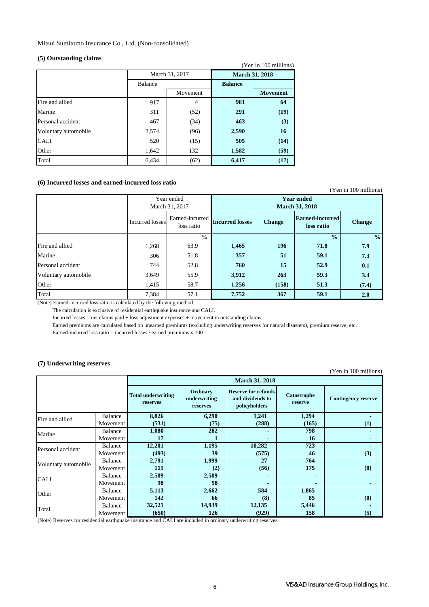Mitsui Sumitomo Insurance Co., Ltd. (Non-consolidated)

#### **(5) Outstanding claims**

|                      |         |                |                       | (Yen in 100 millions) |
|----------------------|---------|----------------|-----------------------|-----------------------|
|                      |         | March 31, 2017 | <b>March 31, 2018</b> |                       |
|                      | Balance |                | <b>Balance</b>        |                       |
|                      |         | Movement       |                       | <b>Movement</b>       |
| Fire and allied      | 917     | 4              | 981                   | 64                    |
| Marine               | 311     | (52)           | 291                   | (19)                  |
| Personal accident    | 467     | (34)           | 463                   | (3)                   |
| Voluntary automobile | 2,574   | (96)           | 2,590                 | 16                    |
| <b>CALI</b>          | 520     | (15)           | 505                   | (14)                  |
| Other                | 1,642   | 132            | 1,582                 | (59)                  |
| Total                | 6,434   | (62)           | 6,417                 | (17)                  |

### **(6) Incurred losses and earned-incurred loss ratio**

|                      |                              |                               |                                            |               |                                      | (Yen in 100 millions) |
|----------------------|------------------------------|-------------------------------|--------------------------------------------|---------------|--------------------------------------|-----------------------|
|                      | Year ended<br>March 31, 2017 |                               | <b>Year ended</b><br><b>March 31, 2018</b> |               |                                      |                       |
|                      | Incurred losses              | Earned-incurred<br>loss ratio | <b>Incurred losses</b>                     | <b>Change</b> | <b>Earned-incurred</b><br>loss ratio | <b>Change</b>         |
|                      |                              | $\frac{0}{0}$                 |                                            |               | $\frac{0}{0}$                        | $\frac{0}{0}$         |
| Fire and allied      | 1,268                        | 63.9                          | 1,465                                      | 196           | 71.8                                 | 7.9                   |
| Marine               | 306                          | 51.8                          | 357                                        | 51            | 59.1                                 | 7.3                   |
| Personal accident    | 744                          | 52.8                          | 760                                        | 15            | 52.9                                 | 0.1                   |
| Voluntary automobile | 3,649                        | 55.9                          | 3,912                                      | 263           | 59.3                                 | 3.4                   |
| Other                | 1,415                        | 58.7                          | 1,256                                      | (158)         | 51.3                                 | (7.4)                 |
| Total                | 7,384                        | 57.1                          | 7,752                                      | 367           | 59.1                                 | 2.0                   |

(Note) Earned-incurred loss ratio is calculated by the following method:

The calculation is exclusive of residential earthquake insurance and CALI.

Incurred losses = net claims paid + loss adjustment expenses + movement in outstanding claims

Earned premiums are calculated based on unearned premiums (excluding underwriting reserves for natural disasters), premium reserve, etc.

Earned-incurred loss ratio = incurred losses / earned premiums x 100

### **(7) Underwriting reserves**

(Yen in 100 millions)

|                      |          |                                       |                                      | <b>March 31, 2018</b>                                           |                        |                            |
|----------------------|----------|---------------------------------------|--------------------------------------|-----------------------------------------------------------------|------------------------|----------------------------|
|                      |          | <b>Total underwriting</b><br>reserves | Ordinary<br>underwriting<br>reserves | <b>Reserve for refunds</b><br>and dividends to<br>policyholders | Catastrophe<br>reserve | <b>Contingency reserve</b> |
| Fire and allied      | Balance  | 8,826                                 | 6,290                                | 1,241                                                           | 1,294                  |                            |
|                      | Movement | (531)                                 | (75)                                 | (288)                                                           | (165)                  | (1)                        |
| Marine               | Balance  | 1,080                                 | 282                                  |                                                                 | 798                    |                            |
|                      | Movement | 17                                    |                                      | -                                                               | 16                     |                            |
| Personal accident    | Balance  | 12,201                                | 1,195                                | 10,282                                                          | 723                    |                            |
|                      | Movement | (493)                                 | 39                                   | (575)                                                           | 46                     | (3)                        |
| Voluntary automobile | Balance  | 2,791                                 | 1,999                                | 27                                                              | 764                    |                            |
|                      | Movement | 115                                   | (2)                                  | (56)                                                            | 175                    | (0)                        |
| <b>CALI</b>          | Balance  | 2,509                                 | 2,509                                |                                                                 |                        |                            |
|                      | Movement | 98                                    | 98                                   |                                                                 |                        |                            |
| Other                | Balance  | 5,113                                 | 2,662                                | 584                                                             | 1,865                  |                            |
|                      | Movement | 142                                   | 66                                   | (8)                                                             | 85                     | (0)                        |
|                      | Balance  | 32,521                                | 14,939                               | 12,135                                                          | 5,446                  |                            |
| Total                | Movement | (650)                                 | 126                                  | (929)                                                           | 158                    | (5)                        |

(Note) Reserves for residential earthquake insurance and CALI are included in ordinary underwriting reserves.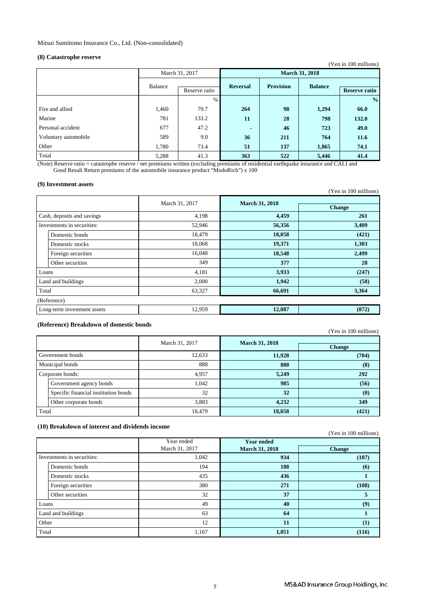### **(8) Catastrophe reserve**

| $\sqrt{2}$           |                          |                |                 |                       |                | (Yen in 100 millions) |
|----------------------|--------------------------|----------------|-----------------|-----------------------|----------------|-----------------------|
|                      |                          | March 31, 2017 |                 | <b>March 31, 2018</b> |                |                       |
|                      | Balance<br>Reserve ratio |                | <b>Reversal</b> | <b>Provision</b>      | <b>Balance</b> | <b>Reserve ratio</b>  |
|                      |                          | $\%$           |                 |                       |                | $\frac{0}{0}$         |
| Fire and allied      | 1,460                    | 79.7           | 264             | 98                    | 1,294          | 66.0                  |
| Marine               | 781                      | 133.2          | 11              | 28                    | 798            | 132.0                 |
| Personal accident    | 677                      | 47.2           | $\blacksquare$  | 46                    | 723            | 49.0                  |
| Voluntary automobile | 589                      | 9.0            | 36              | 211                   | 764            | 11.6                  |
| Other                | 1,780                    | 73.4           | 51              | 137                   | 1,865          | 74.1                  |
| Total                | 5,288                    | 41.3           | 363             | 522                   | 5,446          | 41.4                  |

(Note) Reserve ratio = catastrophe reserve / net premiums written (excluding premiums of residential earthquake insurance and CALI and Good Result Return premiums of the automobile insurance product "ModoRich") x 100

#### **(9) Investment assets**

| (7) шусмисні амсь           |                |                       | (Yen in 100 millions) |
|-----------------------------|----------------|-----------------------|-----------------------|
|                             | March 31, 2017 | <b>March 31, 2018</b> | <b>Change</b>         |
| Cash, deposits and savings  | 4,198          | 4,459                 | 261                   |
| Investments in securities:  | 52,946         | 56,356                | 3,409                 |
| Domestic bonds              | 18,479         | 18,058                | (421)                 |
| Domestic stocks             | 18,068         | 19,371                | 1,303                 |
| Foreign securities          | 16,048         | 18,548                | 2,499                 |
| Other securities            | 349            | 377                   | 28                    |
| Loans                       | 4,181          | 3,933                 | (247)                 |
| Land and buildings          | 2,000          | 1,942                 | (58)                  |
| Total                       | 63,327         | 66,691                | 3,364                 |
| (Reference)                 |                |                       |                       |
| Long-term investment assets | 12,959         | 12,087                | (872)                 |

### **(Reference) Breakdown of domestic bonds**

(Yen in 100 millions)

|                  |                                      | March 31, 2017 | <b>March 31, 2018</b> |                               |
|------------------|--------------------------------------|----------------|-----------------------|-------------------------------|
|                  |                                      |                |                       | <b>Change</b>                 |
| Government bonds |                                      | 12,633         | 11,928                | (704)                         |
| Municipal bonds  |                                      | 888            | 880                   | (8)                           |
| Corporate bonds: |                                      | 4,957          | 5,249                 | 292                           |
|                  | Government agency bonds              | 1.042          | 985                   | (56)                          |
|                  | Specific financial institution bonds | 32             | 32                    | $\boldsymbol{\left(0\right)}$ |
|                  | Other corporate bonds                | 3,883          | 4,232                 | 349                           |
| Total            |                                      | 18,479         | 18,058                | (421)                         |

#### **(10) Breakdown of interest and dividends income**

|                            |                    |                              |                                            | (Yen in 100 millions) |
|----------------------------|--------------------|------------------------------|--------------------------------------------|-----------------------|
|                            |                    | Year ended<br>March 31, 2017 | <b>Year ended</b><br><b>March 31, 2018</b> | <b>Change</b>         |
| Investments in securities: |                    | 1,042                        | 934                                        | (107)                 |
|                            | Domestic bonds     | 194                          | 188                                        | (6)                   |
|                            | Domestic stocks    | 435                          | 436                                        |                       |
|                            | Foreign securities | 380                          | 271                                        | (108)                 |
|                            | Other securities   | 32                           | 37                                         | 5                     |
| Loans                      |                    | 49                           | 40                                         | (9)                   |
| Land and buildings         |                    | 63                           | 64                                         |                       |
| Other                      |                    | 12                           | 11                                         | (1)                   |
| Total                      |                    | 1,167                        | 1,051                                      | (116)                 |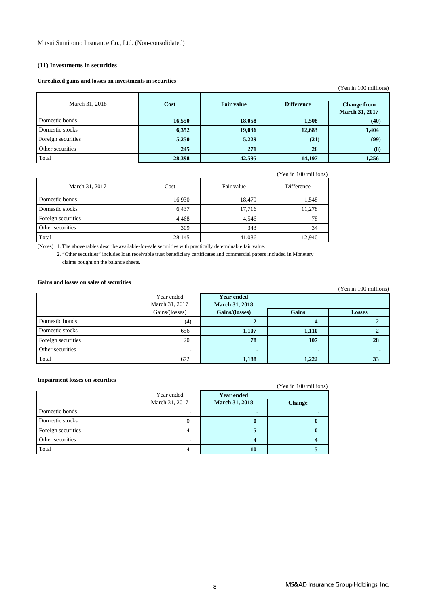### **(11) Investments in securities**

#### **Unrealized gains and losses on investments in securities**

|                    |        |                   |                   | (Yen in 100 millions)                       |
|--------------------|--------|-------------------|-------------------|---------------------------------------------|
| March 31, 2018     | Cost   | <b>Fair value</b> | <b>Difference</b> | <b>Change from</b><br><b>March 31, 2017</b> |
| Domestic bonds     | 16,550 | 18,058            | 1,508             | (40)                                        |
| Domestic stocks    | 6,352  | 19,036            | 12,683            | 1,404                                       |
| Foreign securities | 5,250  | 5,229             | (21)              | (99)                                        |
| Other securities   | 245    | 271               | 26                | (8)                                         |
| Total              | 28,398 | 42,595            | 14,197            | 1,256                                       |

|  | (Yen in 100 millions) |
|--|-----------------------|
|  |                       |

| March 31, 2017     | Cost   | Fair value | Difference |
|--------------------|--------|------------|------------|
| Domestic bonds     | 16,930 | 18,479     | 1,548      |
| Domestic stocks    | 6,437  | 17,716     | 11,278     |
| Foreign securities | 4,468  | 4,546      | 78         |
| Other securities   | 309    | 343        | 34         |
| Total              | 28,145 | 41,086     | 12,940     |

(Notes) 1. The above tables describe available-for-sale securities with practically determinable fair value.

2. "Other securities" includes loan receivable trust beneficiary certificates and commercial papers included in Monetary claims bought on the balance sheets.

### **Gains and losses on sales of securities**

|                    |                          |                       |       | 1.9111110011111101101 |
|--------------------|--------------------------|-----------------------|-------|-----------------------|
|                    | Year ended               | <b>Year ended</b>     |       |                       |
|                    | March 31, 2017           | <b>March 31, 2018</b> |       |                       |
|                    | Gains/(losses)           | Gains/(losses)        | Gains | <b>Losses</b>         |
| Domestic bonds     | (4)                      |                       |       |                       |
| Domestic stocks    | 656                      | 1,107                 | 1,110 |                       |
| Foreign securities | 20                       | 78                    | 107   | 28                    |
| Other securities   | $\overline{\phantom{a}}$ |                       |       |                       |
| Total              | 672                      | 1,188                 | 1,222 | 33                    |

#### **Impairment losses on securities**

| <i><u>Empainment</u></i> rosses on securities |                |                       | (Yen in 100 millions) |
|-----------------------------------------------|----------------|-----------------------|-----------------------|
|                                               | Year ended     | <b>Year ended</b>     |                       |
|                                               | March 31, 2017 | <b>March 31, 2018</b> | <b>Change</b>         |
| Domestic bonds                                |                |                       |                       |
| Domestic stocks                               | $\theta$       |                       |                       |
| Foreign securities                            |                |                       |                       |
| Other securities                              |                |                       |                       |
| Total                                         |                | 10                    |                       |

(Yen in 100 millions)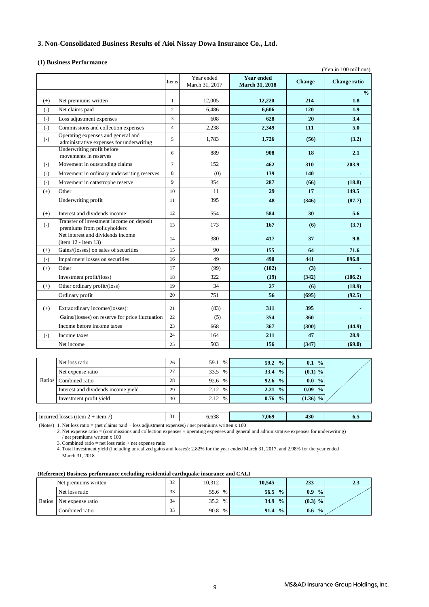### **3. Non-Consolidated Business Results of Aioi Nissay Dowa Insurance Co., Ltd.**

#### **(1) Business Performance**

|          | (Yen in 100 millions)                                                          |                |                              |                                            |               |               |
|----------|--------------------------------------------------------------------------------|----------------|------------------------------|--------------------------------------------|---------------|---------------|
|          |                                                                                | Items          | Year ended<br>March 31, 2017 | <b>Year ended</b><br><b>March 31, 2018</b> | <b>Change</b> | Change ratio  |
|          |                                                                                |                |                              |                                            |               | $\frac{0}{0}$ |
| $(+)$    | Net premiums written                                                           | $\mathbf{1}$   | 12,005                       | 12,220                                     | 214           | 1.8           |
| $(-)$    | Net claims paid                                                                | $\overline{c}$ | 6,486                        | 6.606                                      | 120           | 1.9           |
| $(-)$    | Loss adjustment expenses                                                       | 3              | 608                          | 628                                        | 20            | 3.4           |
| $(-)$    | Commissions and collection expenses                                            | $\overline{4}$ | 2,238                        | 2,349                                      | 111           | 5.0           |
| $(-)$    | Operating expenses and general and<br>administrative expenses for underwriting | 5              | 1,783                        | 1,726                                      | (56)          | (3.2)         |
|          | Underwriting profit before<br>movements in reserves                            | 6              | 889                          | 908                                        | 18            | 2.1           |
| $(-)$    | Movement in outstanding claims                                                 | $\overline{7}$ | 152                          | 462                                        | 310           | 203.9         |
| $(-)$    | Movement in ordinary underwriting reserves                                     | 8              | (0)                          | 139                                        | 140           |               |
| $(-)$    | Movement in catastrophe reserve                                                | 9              | 354                          | 287                                        | (66)          | (18.8)        |
| $(+)$    | Other                                                                          | 10             | 11                           | 29                                         | 17            | 149.5         |
|          | Underwriting profit                                                            | 11             | 395                          | 48                                         | (346)         | (87.7)        |
| $^{(+)}$ | Interest and dividends income                                                  | 12             | 554                          | 584                                        | 30            | 5.6           |
| $(-)$    | Transfer of investment income on deposit<br>premiums from policyholders        | 13             | 173                          | 167                                        | (6)           | (3.7)         |
|          | Net interest and dividends income<br>$item 12 - item 13)$                      | 14             | 380                          | 417                                        | 37            | 9.8           |
| $^{(+)}$ | Gains/(losses) on sales of securities                                          | 15             | 90                           | 155                                        | 64            | 71.6          |
| $(-)$    | Impairment losses on securities                                                | 16             | 49                           | 490                                        | 441           | 896.8         |
| $^{(+)}$ | Other                                                                          | 17             | (99)                         | (102)                                      | (3)           |               |
|          | Investment profit/(loss)                                                       | 18             | 322                          | (19)                                       | (342)         | (106.2)       |
| $(+)$    | Other ordinary profit/(loss)                                                   | 19             | 34                           | 27                                         | (6)           | (18.9)        |
|          | Ordinary profit                                                                | 20             | 751                          | 56                                         | (695)         | (92.5)        |
| $^{(+)}$ | Extraordinary income/(losses):                                                 | 21             | (83)                         | 311                                        | 395           |               |
|          | Gains/(losses) on reserve for price fluctuation                                | 22             | (5)                          | 354                                        | 360           |               |
|          | Income before income taxes                                                     | 23             | 668                          | 367                                        | (300)         | (44.9)        |
| $(-)$    | Income taxes                                                                   | 24             | 164                          | 211                                        | 47            | 28.9          |
|          | Net income                                                                     | 25             | 503                          | 156                                        | (347)         | (69.0)        |
|          |                                                                                |                |                              |                                            |               |               |
|          | Net loss ratio                                                                 | 26             | 59.1 %                       | 59.2 %                                     | $0.1\%$       |               |
|          | Net expense ratio                                                              | 27             | 33.5 %                       | 33.4 %                                     | $(0.1)$ %     |               |
| Ratios   | Combined ratio                                                                 | 28             | 92.6 %                       | 92.6 %                                     | $0.0\%$       |               |
|          | Interest and dividends income yield                                            | 29             | 2.12 %                       | $2.21\%$                                   | $0.09\%$      |               |

 Incurred losses (item 2 + item 7) 31 6,638 **7,069 430 6.5** (Notes) 1. Net loss ratio = (net claims paid + loss adjustment expenses) / net premiums written x 100

2. Net expense ratio = (commissions and collection expenses + operating expenses and general and administrative expenses for underwriting) / net premiums written x 100

Investment profit yield 30 2.12 % **0.76 % (1.36) %**

3. Combined ratio = net loss ratio + net expense ratio

4. Total investment yield (including unrealized gains and losses): 2.82% for the year ended March 31, 2017, and 2.98% for the year ended March 31, 2018

#### **(Reference) Business performance excluding residential earthquake insurance and CALI**

|        | Net premiums written | 32 | 10.312       | 10.545                | 233                  | 2.3 |
|--------|----------------------|----|--------------|-----------------------|----------------------|-----|
|        | Net loss ratio       | 33 | 55.6<br>$\%$ | 56.5<br>$\frac{0}{0}$ | 0.9<br>$\frac{0}{0}$ |     |
| Ratios | Net expense ratio    | 34 | 35.2<br>$\%$ | 34.9<br>$\frac{0}{0}$ | $(0.3)$ %            |     |
|        | Combined ratio       | 35 | 90.8<br>%    | 91.4<br>$\frac{0}{0}$ | 0.6<br>$\frac{0}{0}$ |     |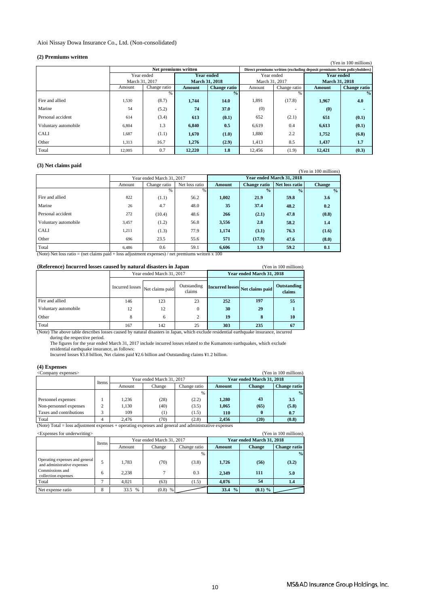### Aioi Nissay Dowa Insurance Co., Ltd. (Non-consolidated)

### **(2) Premiums written**

| (4) I I chhuille Whiteh |                       |                      |                       |                     |                |              |                                                                         |                     |  |
|-------------------------|-----------------------|----------------------|-----------------------|---------------------|----------------|--------------|-------------------------------------------------------------------------|---------------------|--|
|                         | (Yen in 100 millions) |                      |                       |                     |                |              |                                                                         |                     |  |
|                         |                       | Net premiums written |                       |                     |                |              | Direct premiums written (excluding deposit premiums from policyholders) |                     |  |
|                         | Year ended            |                      | <b>Year ended</b>     |                     | Year ended     |              | <b>Year ended</b>                                                       |                     |  |
|                         | March 31, 2017        |                      | <b>March 31, 2018</b> |                     | March 31, 2017 |              | <b>March 31, 2018</b>                                                   |                     |  |
|                         | Amount                | Change ratio         | Amount                | <b>Change ratio</b> | Amount         | Change ratio | Amount                                                                  | <b>Change ratio</b> |  |
|                         |                       | $\frac{0}{0}$        |                       | $\frac{0}{2}$       |                | %            |                                                                         | $\frac{0}{2}$       |  |
| Fire and allied         | 1,530                 | (8.7)                | 1,744                 | 14.0                | 1,891          | (17.8)       | 1,967                                                                   | 4.0                 |  |
| Marine                  | 54                    | (5.2)                | 74                    | 37.0                | (0)            |              | (0)                                                                     |                     |  |
| Personal accident       | 614                   | (3.4)                | 613                   | (0.1)               | 652            | (2.1)        | 651                                                                     | (0.1)               |  |
| Voluntary automobile    | 6,804                 | 1.3                  | 6.840                 | 0.5                 | 6,619          | 0.4          | 6,613                                                                   | (0.1)               |  |
| <b>CALI</b>             | 1,687                 | (1.1)                | 1,670                 | (1.0)               | 1,880          | 2.2          | 1,752                                                                   | (6.8)               |  |
| Other                   | 1,313                 | 16.7                 | 1,276                 | (2.9)               | 1,413          | 8.5          | 1,437                                                                   | 1.7                 |  |
| Total                   | 12,005                | 0.7                  | 12,220                | 1.8                 | 12.456         | (1.9)        | 12,421                                                                  | (0.3)               |  |

#### **(3) Net claims paid**

| $\omega$ , $\omega$ to change paid |        |                                |               |               |                           |                |                       |  |  |
|------------------------------------|--------|--------------------------------|---------------|---------------|---------------------------|----------------|-----------------------|--|--|
|                                    |        |                                |               |               |                           |                | (Yen in 100 millions) |  |  |
|                                    |        | Year ended March 31, 2017      |               |               | Year ended March 31, 2018 |                |                       |  |  |
|                                    | Amount | Net loss ratio<br>Change ratio |               | <b>Amount</b> | <b>Change ratio</b>       | Net loss ratio | <b>Change</b>         |  |  |
|                                    |        | $\%$                           | $\frac{9}{6}$ |               | $\frac{1}{2}$             | $\frac{0}{0}$  | $\frac{0}{2}$         |  |  |
| Fire and allied                    | 822    | (1.1)                          | 56.2          | 1,002         | 21.9                      | 59.8           | 3.6                   |  |  |
| Marine                             | 26     | 4.7                            | 48.0          | 35            | 37.4                      | 48.2           | 0.2                   |  |  |
| Personal accident                  | 272    | (10.4)                         | 48.6          | 266           | (2.1)                     | 47.8           | (0.8)                 |  |  |
| Voluntary automobile               | 3,457  | (1.2)                          | 56.8          | 3,556         | 2.8                       | 58.2           | 1.4                   |  |  |
| <b>CALI</b>                        | 1.211  | (1.3)                          | 77.9          | 1,174         | (3.1)                     | 76.3           | (1.6)                 |  |  |
| Other                              | 696    | 23.5                           | 55.6          | 571           | (17.9)                    | 47.6           | (8.0)                 |  |  |
| Total                              | 6,486  | 0.6                            | 59.1          | 6,606         | 1.9                       | 59.2           | 0.1                   |  |  |

(Note) Net loss ratio = (net claims paid + loss adjustment expenses) / net premiums written x 100

| (Reference) Incurred losses caused by natural disasters in Japan<br>(Yen in 100 millions) |                                                          |                           |    |     |                                 |                       |
|-------------------------------------------------------------------------------------------|----------------------------------------------------------|---------------------------|----|-----|---------------------------------|-----------------------|
|                                                                                           |                                                          | Year ended March 31, 2017 |    |     | Year ended March 31, 2018       |                       |
|                                                                                           | Outstanding<br>Incurred losses Net claims paid<br>claims |                           |    |     | Incurred losses Net claims paid | Outstanding<br>claims |
| Fire and allied                                                                           | 146                                                      | 123                       | 23 | 252 | 197                             | 55                    |
| Voluntary automobile                                                                      | 12                                                       | 12                        | 0  | 30  | 29                              |                       |
| Other                                                                                     | 8                                                        | 6                         | ◠  | 19  | 8                               | 10                    |
| Total                                                                                     | 167                                                      | 142                       | 25 | 303 | 235                             | 67                    |

 The figures for the year ended March 31, 2017 include incurred losses related to the Kumamoto earthquakes, which exclude (Note) The above table describes losses caused by natural disasters in Japan, which exclude residential earthquake insurance, incurred during the respective period.

residential earthquake insurance, as follows:

Incurred losses ¥3.8 billion, Net claims paid ¥2.6 billion and Outstanding claims ¥1.2 billion.

### **(4) Expenses**

| (Yen in 100 millions)<br><company expenses=""></company> |                   |        |                           |              |            |                           |                     |
|----------------------------------------------------------|-------------------|--------|---------------------------|--------------|------------|---------------------------|---------------------|
|                                                          | Items             |        | Year ended March 31, 2017 |              |            | Year ended March 31, 2018 |                     |
|                                                          |                   | Amount | Change                    | Change ratio | Amount     | <b>Change</b>             | <b>Change ratio</b> |
|                                                          |                   |        |                           | $\%$         |            |                           | $\frac{0}{2}$       |
| Personnel expenses                                       |                   | 1.236  | (28)                      | (2.2)        | 1.280      | 43                        | 3.5                 |
| Non-personnel expenses                                   |                   | 1.130  | (40)                      | (3.5)        | 1.065      | (65)                      | (5.8)               |
| Taxes and contributions                                  | $\mathbf{\Omega}$ | 109    | (1)                       | (1.5)        | <b>110</b> |                           | 0.7                 |
| Total                                                    |                   | 2.476  | (70)                      | (2.8)        | 2.456      | (20)                      | (0.8)               |

(Note) Total = loss adjustment expenses + operating expenses and general and administrative expenses

| (Yen in 100 millions)<br>$\leq$ Expenses for underwriting $>$ |       |        |                           |              |                       |                           |                     |
|---------------------------------------------------------------|-------|--------|---------------------------|--------------|-----------------------|---------------------------|---------------------|
|                                                               | Items |        | Year ended March 31, 2017 |              |                       | Year ended March 31, 2018 |                     |
|                                                               |       | Amount | Change                    | Change ratio | Amount                | <b>Change</b>             | <b>Change ratio</b> |
|                                                               |       |        |                           | $\%$         |                       |                           | $\%$                |
| Operating expenses and general<br>and administrative expenses |       | 1.783  | (70)                      | (3.8)        | 1,726                 | (56)                      | (3.2)               |
| Commissions and<br>collection expenses                        | 6     | 2.238  |                           | 0.3          | 2.349                 | 111                       | 5.0                 |
| Total                                                         |       | 4.021  | (63)                      | (1.5)        | 4.076                 | 54                        | 1.4                 |
| Net expense ratio                                             | 8     | 33.5 % | $(0.8)$ %                 |              | $\frac{0}{2}$<br>33.4 | $(0.1)$ %                 |                     |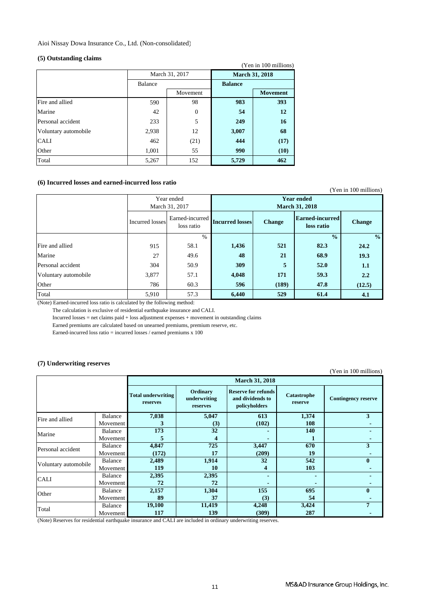Aioi Nissay Dowa Insurance Co., Ltd. (Non-consolidated)

#### **(5) Outstanding claims**

| (Yen in 100 millions) |                |                |                       |                 |  |  |  |
|-----------------------|----------------|----------------|-----------------------|-----------------|--|--|--|
|                       |                | March 31, 2017 | <b>March 31, 2018</b> |                 |  |  |  |
|                       | <b>Balance</b> |                | <b>Balance</b>        |                 |  |  |  |
|                       |                | Movement       |                       | <b>Movement</b> |  |  |  |
| Fire and allied       | 590            | 98             | 983                   | 393             |  |  |  |
| Marine                | 42             | $\mathbf{0}$   | 54                    | 12              |  |  |  |
| Personal accident     | 233            | 5              | 249                   | 16              |  |  |  |
| Voluntary automobile  | 2,938          | 12             | 3,007                 | 68              |  |  |  |
| <b>CALI</b>           | 462            | (21)           | 444                   | (17)            |  |  |  |
| Other                 | 1,001          | 55             | 990                   | (10)            |  |  |  |
| Total                 | 5,267          | 152            | 5,729                 | 462             |  |  |  |

### **(6) Incurred losses and earned-incurred loss ratio**

|                      |                 |                               |                                            |               |                                      | (Yen in 100 millions) |
|----------------------|-----------------|-------------------------------|--------------------------------------------|---------------|--------------------------------------|-----------------------|
|                      |                 | Year ended<br>March 31, 2017  | <b>Year ended</b><br><b>March 31, 2018</b> |               |                                      |                       |
|                      | Incurred losses | Earned-incurred<br>loss ratio | <b>Incurred losses</b>                     | <b>Change</b> | <b>Earned-incurred</b><br>loss ratio | <b>Change</b>         |
|                      |                 | $\frac{0}{0}$                 |                                            |               | $\frac{0}{0}$                        | $\frac{0}{0}$         |
| Fire and allied      | 915             | 58.1                          | 1,436                                      | 521           | 82.3                                 | 24.2                  |
| Marine               | 27              | 49.6                          | 48                                         | 21            | 68.9                                 | 19.3                  |
| Personal accident    | 304             | 50.9                          | 309                                        | 5             | 52.0                                 | 1.1                   |
| Voluntary automobile | 3,877           | 57.1                          | 4,048                                      | 171           | 59.3                                 | 2.2                   |
| Other                | 786             | 60.3                          | 596                                        | (189)         | 47.8                                 | (12.5)                |
| Total                | 5,910           | 57.3                          | 6,440                                      | 529           | 61.4                                 | 4.1                   |

(Note) Earned-incurred loss ratio is calculated by the following method:

The calculation is exclusive of residential earthquake insurance and CALI.

Incurred losses = net claims paid + loss adjustment expenses + movement in outstanding claims

Earned premiums are calculated based on unearned premiums, premium reserve, etc.

Earned-incurred loss ratio = incurred losses / earned premiums x 100

### **(7) Underwriting reserves**

(Yen in 100 millions)

|                      |          |                                       | <b>March 31, 2018</b>                |                                                                 |                        |                            |  |  |  |
|----------------------|----------|---------------------------------------|--------------------------------------|-----------------------------------------------------------------|------------------------|----------------------------|--|--|--|
|                      |          | <b>Total underwriting</b><br>reserves | Ordinary<br>underwriting<br>reserves | <b>Reserve for refunds</b><br>and dividends to<br>policyholders | Catastrophe<br>reserve | <b>Contingency reserve</b> |  |  |  |
| Fire and allied      | Balance  | 7,038                                 | 5,047                                | 613                                                             | 1,374                  | 3                          |  |  |  |
|                      | Movement |                                       | (3)                                  | (102)                                                           | 108                    |                            |  |  |  |
| Marine               | Balance  | 173                                   | 32                                   |                                                                 | 140                    |                            |  |  |  |
|                      | Movement |                                       | 4                                    | -                                                               |                        |                            |  |  |  |
| Personal accident    | Balance  | 4,847                                 | 725                                  | 3,447                                                           | 670                    | 3                          |  |  |  |
|                      | Movement | (172)                                 | 17                                   | (209)                                                           | 19                     |                            |  |  |  |
| Voluntary automobile | Balance  | 2,489                                 | 1,914                                | 32                                                              | 542                    | 0                          |  |  |  |
|                      | Movement | 119                                   | 10                                   | 4                                                               | 103                    |                            |  |  |  |
| <b>CALI</b>          | Balance  | 2,395                                 | 2,395                                | -                                                               |                        |                            |  |  |  |
|                      | Movement | 72                                    | 72                                   |                                                                 |                        |                            |  |  |  |
| Other                | Balance  | 2,157                                 | 1,304                                | 155                                                             | 695                    | 0                          |  |  |  |
|                      | Movement | 89                                    | 37                                   | (3)                                                             | 54                     |                            |  |  |  |
|                      | Balance  | 19,100                                | 11,419                               | 4,248                                                           | 3,424                  | 7                          |  |  |  |
| Total                | Movement | 117                                   | 139                                  | (309)                                                           | 287                    |                            |  |  |  |

(Note) Reserves for residential earthquake insurance and CALI are included in ordinary underwriting reserves.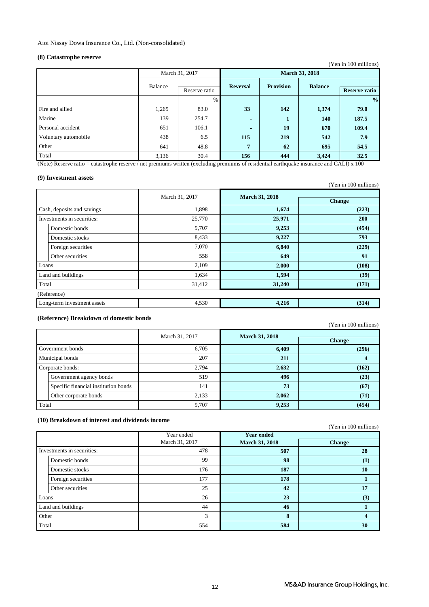### **(8) Catastrophe reserve**

|                          |       |                 |                       |                | (Yen in 100 millions) |
|--------------------------|-------|-----------------|-----------------------|----------------|-----------------------|
| March 31, 2017           |       |                 | <b>March 31, 2018</b> |                |                       |
| Balance<br>Reserve ratio |       | <b>Reversal</b> | <b>Provision</b>      | <b>Balance</b> | <b>Reserve ratio</b>  |
|                          | $\%$  |                 |                       |                | $\frac{0}{0}$         |
| 1,265                    | 83.0  | 33              | 142                   | 1,374          | 79.0                  |
| 139                      | 254.7 | $\blacksquare$  | 1                     | 140            | 187.5                 |
| 651                      | 106.1 | $\blacksquare$  | 19                    | 670            | 109.4                 |
| 438                      | 6.5   | 115             | 219                   | 542            | 7.9                   |
| 641                      | 48.8  | $7\phantom{.0}$ | 62                    | 695            | 54.5                  |
| 3,136                    | 30.4  | 156             | 444                   | 3,424          | 32.5                  |
|                          |       | $\sim$ $\sim$   |                       | .              | ------<br>. .         |

(Note) Reserve ratio = catastrophe reserve / net premiums written (excluding premiums of residential earthquake insurance and CALI) x 100

#### **(9) Investment assets**

|       |                             |                |                       | (Yen in 100 millions) |
|-------|-----------------------------|----------------|-----------------------|-----------------------|
|       |                             | March 31, 2017 | <b>March 31, 2018</b> |                       |
|       |                             |                |                       | <b>Change</b>         |
|       | Cash, deposits and savings  | 1,898          | 1,674                 | (223)                 |
|       | Investments in securities:  | 25,770         | 25,971                | <b>200</b>            |
|       | Domestic bonds              | 9,707          | 9,253                 | (454)                 |
|       | Domestic stocks             | 8,433          | 9,227                 | 793                   |
|       | Foreign securities          | 7,070          | 6,840                 | (229)                 |
|       | Other securities            | 558            | 649                   | 91                    |
| Loans |                             | 2,109          | 2,000                 | (108)                 |
|       | Land and buildings          | 1,634          | 1,594                 | (39)                  |
| Total |                             | 31,412         | 31,240                | (171)                 |
|       | (Reference)                 |                |                       |                       |
|       | Long-term investment assets | 4,530          | 4,216                 | (314)                 |

#### **(Reference) Breakdown of domestic bonds**

(Yen in 100 millions) Government agency bonds Specific financial institution bonds Other corporate bonds 6,705 **6,409 (296)** 207 **211 4** 2,794 **2,632 (162)** 519 **496 (23) (454)** 141 **73 (67)** 2,133 **2,062 (71)** March 31, 2017 **March 31, 2018 Change**  Government bonds Municipal bonds Corporate bonds: Total 9,707 **9,253** 

### **(10) Breakdown of interest and dividends income**

(Yen in 100 millions)

|       |                            | Year ended     | <b>Year ended</b>     |               |
|-------|----------------------------|----------------|-----------------------|---------------|
|       |                            | March 31, 2017 | <b>March 31, 2018</b> | <b>Change</b> |
|       | Investments in securities: | 478            | 507                   | 28            |
|       | Domestic bonds             | 99             | 98                    | $\bf(1)$      |
|       | Domestic stocks            | 176            | 187                   | 10            |
|       | Foreign securities         | 177            | 178                   |               |
|       | Other securities           | 25             | 42                    | 17            |
| Loans |                            | 26             | 23                    | (3)           |
|       | Land and buildings         | 44             | 46                    |               |
| Other |                            | 3              | 8                     | 4             |
| Total |                            | 554            | 584                   | 30            |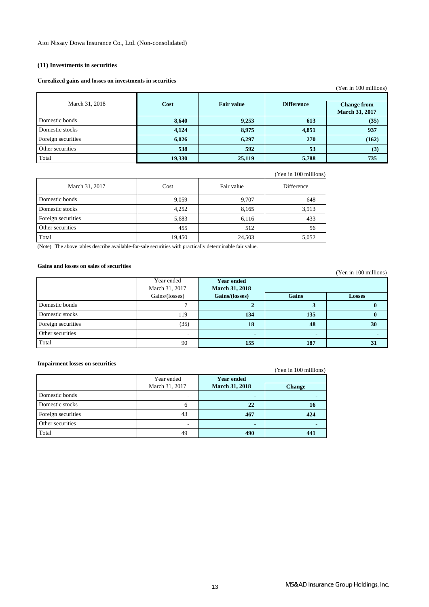### **(11) Investments in securities**

#### **Unrealized gains and losses on investments in securities**

|                    |        |                   |                   | Y en in 100 millions)                       |
|--------------------|--------|-------------------|-------------------|---------------------------------------------|
| March 31, 2018     | Cost   | <b>Fair value</b> | <b>Difference</b> | <b>Change from</b><br><b>March 31, 2017</b> |
| Domestic bonds     | 8,640  | 9,253             | 613               | (35)                                        |
| Domestic stocks    | 4,124  | 8,975             | 4,851             | 937                                         |
| Foreign securities | 6,026  | 6,297             | 270               | (162)                                       |
| Other securities   | 538    | 592               | 53                | (3)                                         |
| Total              | 19,330 | 25,119            | 5,788             | 735                                         |

|                    |        |            | (Yen in 100 millions) |
|--------------------|--------|------------|-----------------------|
| March 31, 2017     | Cost   | Fair value | Difference            |
| Domestic bonds     | 9,059  | 9,707      | 648                   |
| Domestic stocks    | 4,252  | 8,165      | 3,913                 |
| Foreign securities | 5,683  | 6,116      | 433                   |
| Other securities   | 455    | 512        | 56                    |
| Total              | 19,450 | 24,503     | 5,052                 |

(Note) The above tables describe available-for-sale securities with practically determinable fair value.

### **Gains and losses on sales of securities**

|                    |                |                       |       | $1 \text{ cm}$ m $1 \text{00}$ minimons |
|--------------------|----------------|-----------------------|-------|-----------------------------------------|
|                    | Year ended     | <b>Year ended</b>     |       |                                         |
|                    | March 31, 2017 | <b>March 31, 2018</b> |       |                                         |
|                    | Gains/(losses) | Gains/(losses)        | Gains | <b>Losses</b>                           |
| Domestic bonds     |                |                       |       |                                         |
| Domestic stocks    | 119            | 134                   | 135   |                                         |
| Foreign securities | (35)           | 18                    | 48    | 30                                      |
| Other securities   | -              | $\blacksquare$        |       |                                         |
| Total              | 90             | 155                   | 187   | 31                                      |

#### **Impairment losses on securities**

(Yen in 100 millions)

|                    | Year ended<br>March 31, 2017 | <b>Year ended</b><br><b>March 31, 2018</b> | <b>Change</b> |
|--------------------|------------------------------|--------------------------------------------|---------------|
| Domestic bonds     |                              |                                            |               |
| Domestic stocks    | 6                            | 22                                         | 10            |
| Foreign securities | 43                           | 467                                        | 424           |
| Other securities   |                              |                                            |               |
| Total              | 49                           | 490                                        | 441           |

 $(X^2 + 100 \text{ m})$ 

(Yen in 100 millions)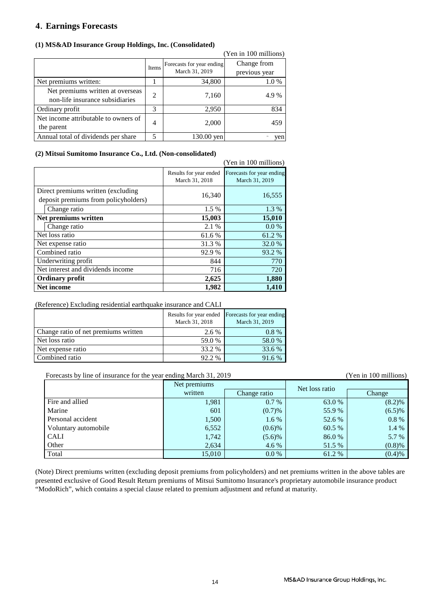### **4**.**Earnings Forecasts**

### **(1) MS&AD Insurance Group Holdings, Inc. (Consolidated)**

|                                                                     |                |                                             | (Yen in 100 millions)        |
|---------------------------------------------------------------------|----------------|---------------------------------------------|------------------------------|
|                                                                     | Items          | Forecasts for year ending<br>March 31, 2019 | Change from<br>previous year |
| Net premiums written:                                               |                | 34,800                                      | 1.0%                         |
| Net premiums written at overseas<br>non-life insurance subsidiaries | $\mathfrak{D}$ | 7,160                                       | 4.9%                         |
| Ordinary profit                                                     | 3              | 2,950                                       | 834                          |
| Net income attributable to owners of<br>the parent                  | 4              | 2,000                                       | 459                          |
| Annual total of dividends per share                                 | 5              | $130.00$ yen                                | yen                          |

### **(2) Mitsui Sumitomo Insurance Co., Ltd. (Non-consolidated)**

|                                                                            |                                          | (Yen in 100 millions)                       |
|----------------------------------------------------------------------------|------------------------------------------|---------------------------------------------|
|                                                                            | Results for year ended<br>March 31, 2018 | Forecasts for year ending<br>March 31, 2019 |
| Direct premiums written (excluding<br>deposit premiums from policyholders) | 16,340                                   | 16,555                                      |
| Change ratio                                                               | 1.5 %                                    | 1.3 %                                       |
| Net premiums written                                                       | 15,003                                   | 15,010                                      |
| Change ratio                                                               | 2.1 %                                    | $0.0\%$                                     |
| Net loss ratio                                                             | 61.6 %                                   | 61.2%                                       |
| Net expense ratio                                                          | 31.3 %                                   | 32.0 %                                      |
| Combined ratio                                                             | 92.9 %                                   | 93.2 %                                      |
| Underwriting profit                                                        | 844                                      | 770                                         |
| Net interest and dividends income                                          | 716                                      | 720                                         |
| <b>Ordinary profit</b>                                                     | 2,625                                    | 1,880                                       |
| Net income                                                                 | 1,982                                    | 1,410                                       |

### (Reference) Excluding residential earthquake insurance and CALI

|                                      | March 31, 2018 | Results for year ended Forecasts for year ending<br>March 31, 2019 |
|--------------------------------------|----------------|--------------------------------------------------------------------|
| Change ratio of net premiums written | 2.6 %          | $0.8\%$                                                            |
| Net loss ratio                       | 59.0 %         | 58.0 %                                                             |
| Net expense ratio                    | 33.2 %         | 33.6 %                                                             |
| Combined ratio                       | 92.2 %         | 91.6 %                                                             |

### Forecasts by line of insurance for the year ending March 31, 2019 (Yen in 100 millions)

|                      | Net premiums |              | Net loss ratio |           |
|----------------------|--------------|--------------|----------------|-----------|
|                      | written      | Change ratio |                | Change    |
| Fire and allied      | 1,981        | $0.7\%$      | 63.0%          | (8.2)%    |
| Marine               | 601          | (0.7)%       | 55.9%          | $(6.5)\%$ |
| Personal accident    | 1,500        | $1.6\%$      | 52.6 %         | $0.8 \%$  |
| Voluntary automobile | 6,552        | $(0.6)$ %    | 60.5 %         | 1.4 %     |
| CALI                 | 1,742        | $(5.6)\%$    | 86.0%          | 5.7 %     |
| Other                | 2,634        | 4.6 %        | 51.5 %         | (0.8)%    |
| Total                | 15,010       | $0.0\%$      | 61.2 %         | (0.4)%    |

(Note) Direct premiums written (excluding deposit premiums from policyholders) and net premiums written in the above tables are presented exclusive of Good Result Return premiums of Mitsui Sumitomo Insurance's proprietary automobile insurance product "ModoRich", which contains a special clause related to premium adjustment and refund at maturity.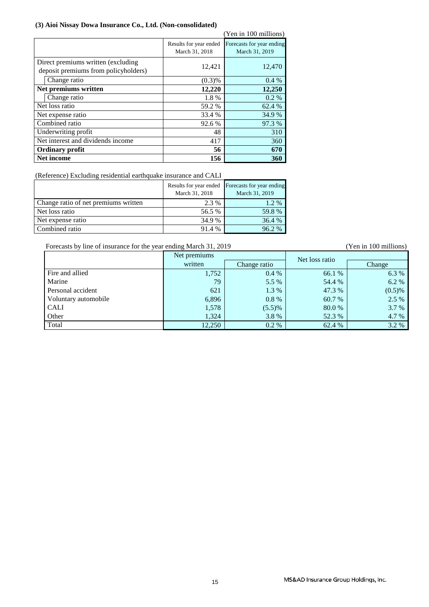### **(3) Aioi Nissay Dowa Insurance Co., Ltd. (Non-consolidated)**

|                                                                             |                                          | (Yen in 100 millions)                       |
|-----------------------------------------------------------------------------|------------------------------------------|---------------------------------------------|
|                                                                             | Results for year ended<br>March 31, 2018 | Forecasts for year ending<br>March 31, 2019 |
| Direct premiums written (excluding)<br>deposit premiums from policyholders) | 12,421                                   | 12,470                                      |
| Change ratio                                                                | (0.3)%                                   | $0.4\%$                                     |
| Net premiums written                                                        | 12,220                                   | 12,250                                      |
| Change ratio                                                                | 1.8%                                     | $0.2\%$                                     |
| Net loss ratio                                                              | 59.2 %                                   | 62.4 %                                      |
| Net expense ratio                                                           | 33.4 %                                   | 34.9 %                                      |
| Combined ratio                                                              | 92.6 %                                   | 97.3 %                                      |
| Underwriting profit                                                         | 48                                       | 310                                         |
| Net interest and dividends income                                           | 417                                      | 360                                         |
| <b>Ordinary profit</b>                                                      | 56                                       | 670                                         |
| Net income                                                                  | 156                                      | 360                                         |

(Reference) Excluding residential earthquake insurance and CALI

|                                      | March 31, 2018 | Results for year ended Forecasts for year ending<br>March 31, 2019 |
|--------------------------------------|----------------|--------------------------------------------------------------------|
| Change ratio of net premiums written | 2.3 %          | $1.2\%$                                                            |
| Net loss ratio                       | 56.5 %         | 59.8%                                                              |
| Net expense ratio                    | 34.9 %         | 36.4 %                                                             |
| Combined ratio                       | 91.4 %         | 96.2%                                                              |

Forecasts by line of insurance for the year ending March 31, 2019 (Yen in 100 millions)

|                      | Net premiums |              | Net loss ratio |           |
|----------------------|--------------|--------------|----------------|-----------|
|                      | written      | Change ratio |                | Change    |
| Fire and allied      | 1,752        | $0.4\%$      | 66.1 %         | 6.3 %     |
| Marine               | 79           | 5.5 %        | 54.4 %         | 6.2 %     |
| Personal accident    | 621          | 1.3 %        | 47.3 %         | $(0.5)\%$ |
| Voluntary automobile | 6,896        | $0.8\%$      | 60.7 %         | 2.5 %     |
| <b>CALI</b>          | 1,578        | (5.5)%       | 80.0 %         | 3.7 %     |
| Other                | 1,324        | 3.8%         | 52.3 %         | 4.7 %     |
| Total                | 12,250       | $0.2\%$      | 62.4 %         | 3.2 %     |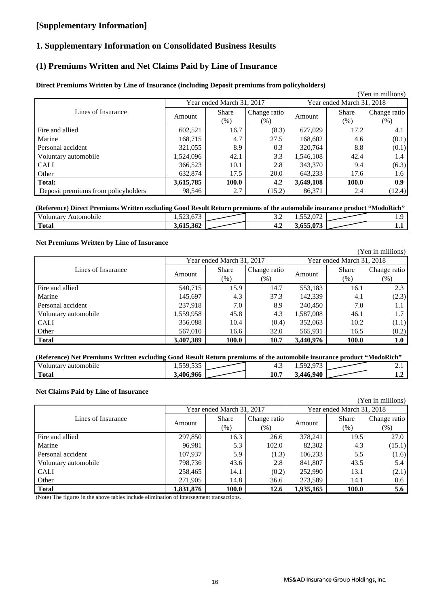### **[Supplementary Information]**

### **1. Supplementary Information on Consolidated Business Results**

### **(1) Premiums Written and Net Claims Paid by Line of Insurance**

### **Direct Premiums Written by Line of Insurance (including Deposit premiums from policyholders)**

|                                     |           |                           |              |           |                           | (Yen in millions) |
|-------------------------------------|-----------|---------------------------|--------------|-----------|---------------------------|-------------------|
|                                     |           | Year ended March 31, 2017 |              |           | Year ended March 31, 2018 |                   |
| Lines of Insurance                  |           | <b>Share</b>              | Change ratio |           | <b>Share</b>              | Change ratio      |
|                                     | Amount    | $(\%)$                    | $(\% )$      | Amount    | (% )                      | $(\% )$           |
| Fire and allied                     | 602,521   | 16.7                      | (8.3)        | 627,029   | 17.2                      | 4.1               |
| Marine                              | 168,715   | 4.7                       | 27.5         | 168,602   | 4.6                       | (0.1)             |
| Personal accident                   | 321,055   | 8.9                       | 0.3          | 320,764   | 8.8                       | (0.1)             |
| Voluntary automobile                | 1,524,096 | 42.1                      | 3.3          | 1,546,108 | 42.4                      | 1.4               |
| <b>CALI</b>                         | 366,523   | 10.1                      | 2.8          | 343,370   | 9.4                       | (6.3)             |
| Other                               | 632,874   | 17.5                      | 20.0         | 643,233   | 17.6                      | 1.6               |
| <b>Total:</b>                       | 3,615,785 | 100.0                     | 4.2          | 3,649,108 | 100.0                     | 0.9 <sub>z</sub>  |
| Deposit premiums from policyholders | 98,546    | 2.7                       | (15.2)       | 86,371    | 2.4                       | (12.4)            |

#### **(Reference) Direct Premiums Written excluding Good Result Return premiums of the automobile insurance product "ModoRich"**

| 'oluntary<br>Automobile | $- - -$<br>$-\wedge$<br>1.123.013 | -<br>ے ب          | $\sim$ 0.72<br>$- - - -$<br>. . <i>.</i> | . |
|-------------------------|-----------------------------------|-------------------|------------------------------------------|---|
| m<br>Total              | $\sim$<br>.<br>3.615.362          | $\epsilon$<br>−.∠ | 3.655.073                                | . |

### **Net Premiums Written by Line of Insurance**

|                      |           |                           |              |           |                           | (Yen in millions) |
|----------------------|-----------|---------------------------|--------------|-----------|---------------------------|-------------------|
|                      |           | Year ended March 31, 2017 |              |           | Year ended March 31, 2018 |                   |
| Lines of Insurance   |           | <b>Share</b>              | Change ratio |           | <b>Share</b>              | Change ratio      |
|                      | Amount    | $(\% )$                   | $(\%)$       | Amount    | (% )                      | (% )              |
| Fire and allied      | 540,715   | 15.9                      | 14.7         | 553,183   | 16.1                      | 2.3               |
| Marine               | 145,697   | 4.3                       | 37.3         | 142,339   | 4.1                       | (2.3)             |
| Personal accident    | 237.918   | 7.0                       | 8.9          | 240,450   | 7.0                       | $1.1\,$           |
| Voluntary automobile | 1,559,958 | 45.8                      | 4.3          | 1,587,008 | 46.1                      | 1.7               |
| <b>CALI</b>          | 356,088   | 10.4                      | (0.4)        | 352,063   | 10.2                      | (1.1)             |
| Other                | 567,010   | 16.6                      | 32.0         | 565,931   | 16.5                      | (0.2)             |
| <b>Total</b>         | 3,407,389 | 100.0                     | 10.7         | 3,440,976 | 100.0                     | 1.0               |

| (Reference) Net Premiums Written excluding Good Result Return premiums of the automobile insurance product "ModoRich" |                  |  |      |           |  |          |  |  |  |  |
|-----------------------------------------------------------------------------------------------------------------------|------------------|--|------|-----------|--|----------|--|--|--|--|
| automobile<br>Voluntary                                                                                               |                  |  |      | 502       |  | <b>A</b> |  |  |  |  |
| <b>Total</b>                                                                                                          | <b>3.406.966</b> |  | 10.7 | 3,446,940 |  |          |  |  |  |  |

### **Net Claims Paid by Line of Insurance**

|                      |           |                           |              |           |                           | (Yen in millions) |
|----------------------|-----------|---------------------------|--------------|-----------|---------------------------|-------------------|
|                      |           | Year ended March 31, 2017 |              |           | Year ended March 31, 2018 |                   |
| Lines of Insurance   |           | <b>Share</b>              | Change ratio |           | <b>Share</b>              | Change ratio      |
|                      | Amount    | $(\% )$                   | $(\%)$       | Amount    | $(\%)$                    | $(\%)$            |
| Fire and allied      | 297,850   | 16.3                      | 26.6         | 378,241   | 19.5                      | 27.0              |
| Marine               | 96,981    | 5.3                       | 102.0        | 82,302    | 4.3                       | (15.1)            |
| Personal accident    | 107,937   | 5.9                       | (1.3)        | 106,233   | 5.5                       | (1.6)             |
| Voluntary automobile | 798,736   | 43.6                      | 2.8          | 841,807   | 43.5                      | 5.4               |
| <b>CALI</b>          | 258,465   | 14.1                      | (0.2)        | 252,990   | 13.1                      | (2.1)             |
| Other                | 271,905   | 14.8                      | 36.6         | 273,589   | 14.1                      | 0.6               |
| <b>Total</b>         | 1,831,876 | 100.0                     | 12.6         | 1,935,165 | 100.0                     | 5.6               |

(Note) The figures in the above tables include elimination of intersegment transactions.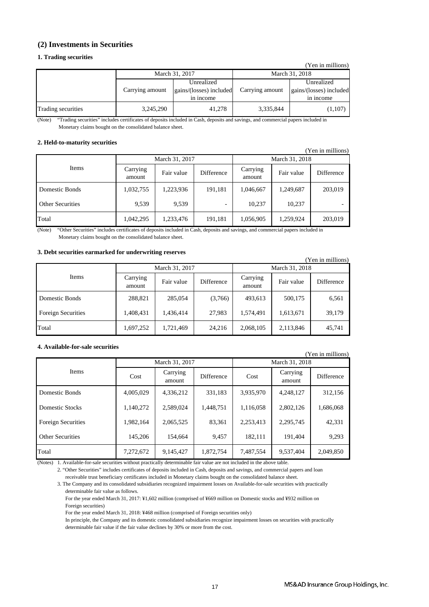### **(2) Investments in Securities**

### **1. Trading securities**

|                    |                 |                         |                 | (Yen in millions)       |
|--------------------|-----------------|-------------------------|-----------------|-------------------------|
|                    | March 31, 2017  |                         | March 31, 2018  |                         |
|                    |                 | Unrealized              |                 | Unrealized              |
|                    | Carrying amount | gains/(losses) included | Carrying amount | gains/(losses) included |
|                    |                 | in income               |                 | in income               |
| Trading securities | 3,245,290       | 41,278                  | 3,335,844       | (1,107)                 |

"Trading securities" includes certificates of deposits included in Cash, deposits and savings, and commercial papers included in Monetary claims bought on the consolidated balance sheet. (Note)

#### **2. Held-to-maturity securities**

| (Yen in millions)       |                    |                |            |                    |                |            |  |  |  |  |
|-------------------------|--------------------|----------------|------------|--------------------|----------------|------------|--|--|--|--|
|                         |                    | March 31, 2017 |            |                    | March 31, 2018 |            |  |  |  |  |
| Items                   | Carrying<br>amount | Fair value     | Difference | Carrying<br>amount | Fair value     | Difference |  |  |  |  |
| Domestic Bonds          | 1,032,755          | 1,223,936      | 191,181    | 1,046,667          | 1,249,687      | 203,019    |  |  |  |  |
| <b>Other Securities</b> | 9,539              | 9,539          |            | 10,237             | 10,237         |            |  |  |  |  |
| Total                   | 1,042,295          | 1,233,476      | 191,181    | 1,056,905          | 1,259,924      | 203,019    |  |  |  |  |

"Other Securities" includes certificates of deposits included in Cash, deposits and savings, and commercial papers included in (Note) Monetary claims bought on the consolidated balance sheet.

#### **3. Debt securities earmarked for underwriting reserves**

| of Debt becamings caminamed nor amach writing reserves<br>(Yen in millions) |                    |                |            |                    |            |            |  |  |  |  |  |
|-----------------------------------------------------------------------------|--------------------|----------------|------------|--------------------|------------|------------|--|--|--|--|--|
| Items                                                                       |                    | March 31, 2017 |            | March 31, 2018     |            |            |  |  |  |  |  |
|                                                                             | Carrying<br>amount | Fair value     | Difference | Carrying<br>amount | Fair value | Difference |  |  |  |  |  |
| Domestic Bonds                                                              | 288,821            | 285,054        | (3,766)    | 493,613            | 500,175    | 6,561      |  |  |  |  |  |
| <b>Foreign Securities</b>                                                   | 1,408,431          | 1,436,414      | 27,983     | 1,574,491          | 1,613,671  | 39,179     |  |  |  |  |  |
| Total                                                                       | 1,697,252          | 1,721,469      | 24,216     | 2,068,105          | 2,113,846  | 45,741     |  |  |  |  |  |

#### **4. Available-for-sale securities**

| $1 \text{cm}$ in minimums) |           |                    |                   |                |                    |                   |  |  |  |
|----------------------------|-----------|--------------------|-------------------|----------------|--------------------|-------------------|--|--|--|
| <b>Items</b>               |           | March 31, 2017     |                   | March 31, 2018 |                    |                   |  |  |  |
|                            | Cost      | Carrying<br>amount | <b>Difference</b> | Cost           | Carrying<br>amount | <b>Difference</b> |  |  |  |
| Domestic Bonds             | 4,005,029 | 4,336,212          | 331,183           | 3,935,970      | 4.248.127          | 312,156           |  |  |  |
| Domestic Stocks            | 1,140,272 | 2,589,024          | 1,448,751         | 1,116,058      | 2,802,126          | 1,686,068         |  |  |  |
| <b>Foreign Securities</b>  | 1.982.164 | 2,065,525          | 83,361            | 2,253,413      | 2,295,745          | 42,331            |  |  |  |
| <b>Other Securities</b>    | 145,206   | 154,664            | 9,457             | 182,111        | 191,404            | 9,293             |  |  |  |
| Total                      | 7,272,672 | 9,145,427          | 1,872,754         | 7,487,554      | 9,537,404          | 2,049,850         |  |  |  |

(Notes) 1. Available-for-sale securities without practically determinable fair value are not included in the above table.

2. "Other Securities" includes certificates of deposits included in Cash, deposits and savings, and commercial papers and loan receivable trust beneficiary certificates included in Monetary claims bought on the consolidated balance sheet.

3. The Company and its consolidated subsidiaries recognized impairment losses on Available-for-sale securities with practically determinable fair value as follows.

 For the year ended March 31, 2017: ¥1,602 million (comprised of ¥669 million on Domestic stocks and ¥932 million on Foreign securities)

For the year ended March 31, 2018: ¥468 million (comprised of Foreign securities only)

 In principle, the Company and its domestic consolidated subsidiaries recognize impairment losses on securities with practically determinable fair value if the fair value declines by 30% or more from the cost.

(Yen in millions)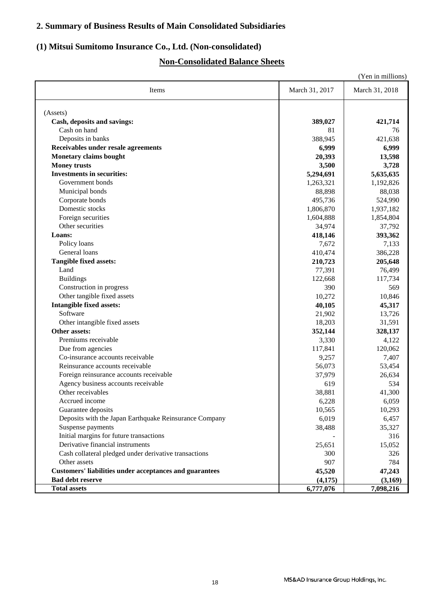### **2. Summary of Business Results of Main Consolidated Subsidiaries**

### **(1) Mitsui Sumitomo Insurance Co., Ltd. (Non-consolidated)**

### **Non-Consolidated Balance Sheets**

|                                                                |                  | (Yen in millions) |
|----------------------------------------------------------------|------------------|-------------------|
| Items                                                          | March 31, 2017   | March 31, 2018    |
| (Assets)                                                       |                  |                   |
| Cash, deposits and savings:                                    | 389,027          | 421,714           |
| Cash on hand                                                   | 81               | 76                |
| Deposits in banks                                              | 388,945          | 421,638           |
| Receivables under resale agreements                            | 6,999            | 6,999             |
| <b>Monetary claims bought</b>                                  | 20,393           | 13,598            |
| <b>Money trusts</b>                                            | 3,500            | 3,728             |
| <b>Investments in securities:</b>                              | 5,294,691        | 5,635,635         |
| Government bonds                                               | 1,263,321        | 1,192,826         |
| Municipal bonds                                                | 88,898           | 88,038            |
| Corporate bonds                                                | 495,736          | 524,990           |
| Domestic stocks                                                | 1,806,870        | 1,937,182         |
| Foreign securities                                             | 1,604,888        | 1,854,804         |
| Other securities                                               | 34,974           | 37,792            |
| Loans:                                                         | 418,146          | 393,362           |
| Policy loans                                                   | 7,672            | 7,133             |
| General loans                                                  | 410,474          | 386,228           |
| Tangible fixed assets:                                         | 210,723          | 205,648           |
| Land                                                           | 77,391           | 76,499            |
| <b>Buildings</b>                                               | 122,668          | 117,734           |
| Construction in progress                                       | 390              | 569               |
| Other tangible fixed assets                                    | 10,272           | 10,846            |
| <b>Intangible fixed assets:</b>                                |                  |                   |
| Software                                                       | 40,105           | 45,317            |
| Other intangible fixed assets                                  | 21,902<br>18,203 | 13,726<br>31,591  |
| Other assets:                                                  |                  |                   |
| Premiums receivable                                            | 352,144<br>3,330 | 328,137<br>4,122  |
| Due from agencies                                              | 117,841          | 120,062           |
| Co-insurance accounts receivable                               |                  |                   |
| Reinsurance accounts receivable                                | 9,257<br>56,073  | 7,407<br>53,454   |
| Foreign reinsurance accounts receivable                        | 37,979           | 26,634            |
| Agency business accounts receivable                            | 619              | 534               |
| Other receivables                                              |                  |                   |
| Accrued income                                                 | 38,881<br>6,228  | 41,300            |
| Guarantee deposits                                             | 10,565           | 6,059<br>10,293   |
| Deposits with the Japan Earthquake Reinsurance Company         | 6,019            | 6,457             |
| Suspense payments                                              | 38,488           | 35,327            |
| Initial margins for future transactions                        |                  | 316               |
| Derivative financial instruments                               |                  | 15,052            |
| Cash collateral pledged under derivative transactions          | 25,651           |                   |
| Other assets                                                   | 300<br>907       | 326<br>784        |
| <b>Customers' liabilities under acceptances and guarantees</b> | 45,520           |                   |
| <b>Bad debt reserve</b>                                        | (4,175)          | 47,243<br>(3,169) |
| <b>Total assets</b>                                            | 6,777,076        | 7,098,216         |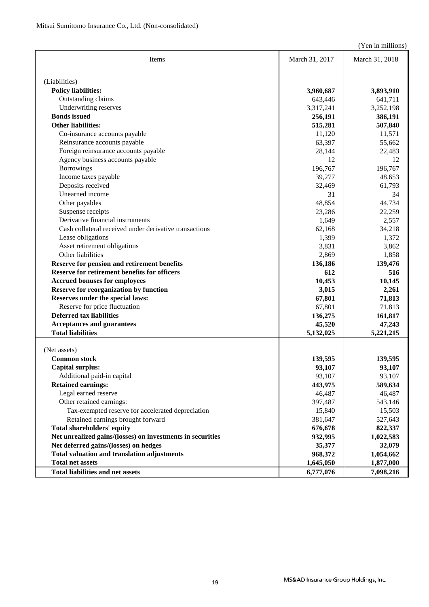(Yen in millions)

| Items                                                      | March 31, 2017 | March 31, 2018    |
|------------------------------------------------------------|----------------|-------------------|
| (Liabilities)                                              |                |                   |
| <b>Policy liabilities:</b>                                 | 3,960,687      | 3,893,910         |
| Outstanding claims                                         | 643,446        | 641,711           |
| Underwriting reserves                                      | 3,317,241      | 3,252,198         |
| <b>Bonds</b> issued                                        | 256,191        | 386,191           |
| <b>Other liabilities:</b>                                  | 515,281        | 507,840           |
| Co-insurance accounts payable                              | 11,120         | 11,571            |
| Reinsurance accounts payable                               | 63,397         | 55,662            |
| Foreign reinsurance accounts payable                       | 28,144         | 22,483            |
| Agency business accounts payable                           | 12             | 12                |
| <b>Borrowings</b>                                          | 196,767        | 196,767           |
| Income taxes payable                                       | 39,277         | 48,653            |
| Deposits received                                          | 32,469         | 61,793            |
| Unearned income                                            | 31             | 34                |
| Other payables                                             | 48,854         | 44,734            |
| Suspense receipts                                          | 23,286         | 22,259            |
| Derivative financial instruments                           | 1,649          | 2,557             |
| Cash collateral received under derivative transactions     | 62,168         | 34,218            |
| Lease obligations                                          | 1,399          | 1,372             |
| Asset retirement obligations                               | 3,831          | 3,862             |
| Other liabilities                                          | 2,869          | 1,858             |
| Reserve for pension and retirement benefits                | 136,186        | 139,476           |
| Reserve for retirement benefits for officers               | 612            | 516               |
| <b>Accrued bonuses for employees</b>                       | 10,453         | 10,145            |
| <b>Reserve for reorganization by function</b>              | 3,015          | 2,261             |
| Reserves under the special laws:                           | 67,801         | 71,813            |
| Reserve for price fluctuation                              | 67,801         | 71,813            |
| <b>Deferred tax liabilities</b>                            | 136,275        |                   |
| <b>Acceptances and guarantees</b>                          | 45,520         | 161,817<br>47,243 |
| <b>Total liabilities</b>                                   | 5,132,025      | 5,221,215         |
|                                                            |                |                   |
| (Net assets)                                               |                |                   |
| <b>Common stock</b>                                        | 139,595        | 139,595           |
| <b>Capital surplus:</b>                                    | 93,107         | 93,107            |
| Additional paid-in capital                                 | 93,107         | 93,107            |
| <b>Retained earnings:</b>                                  | 443,975        | 589,634           |
| Legal earned reserve                                       | 46,487         | 46,487            |
| Other retained earnings:                                   | 397,487        | 543,146           |
| Tax-exempted reserve for accelerated depreciation          | 15,840         | 15,503            |
| Retained earnings brought forward                          | 381,647        | 527,643           |
| <b>Total shareholders' equity</b>                          | 676,678        | 822,337           |
| Net unrealized gains/(losses) on investments in securities | 932,995        | 1,022,583         |
| Net deferred gains/(losses) on hedges                      | 35,377         | 32,079            |
| <b>Total valuation and translation adjustments</b>         | 968,372        | 1,054,662         |
| <b>Total net assets</b>                                    | 1,645,050      | 1,877,000         |
| <b>Total liabilities and net assets</b>                    | 6,777,076      | 7,098,216         |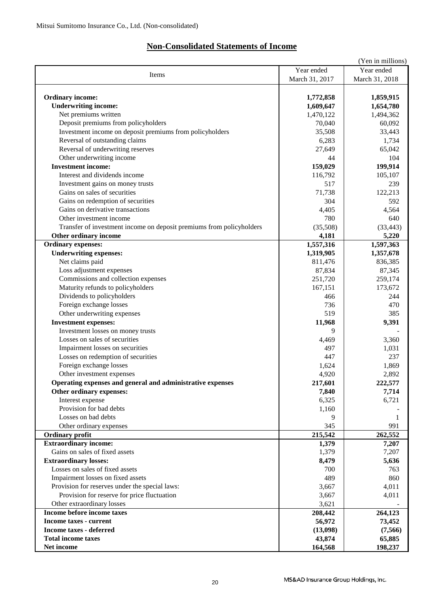## **Non-Consolidated Statements of Income**

|                                                                      |                | (Yen in millions) |
|----------------------------------------------------------------------|----------------|-------------------|
|                                                                      | Year ended     | Year ended        |
| Items                                                                | March 31, 2017 | March 31, 2018    |
|                                                                      |                |                   |
| <b>Ordinary income:</b>                                              | 1,772,858      | 1,859,915         |
| <b>Underwriting income:</b>                                          | 1,609,647      | 1,654,780         |
| Net premiums written                                                 | 1,470,122      | 1,494,362         |
| Deposit premiums from policyholders                                  | 70,040         | 60,092            |
| Investment income on deposit premiums from policyholders             | 35,508         | 33,443            |
| Reversal of outstanding claims                                       | 6,283          | 1,734             |
| Reversal of underwriting reserves                                    | 27,649         | 65,042            |
|                                                                      | 44             | 104               |
| Other underwriting income                                            |                |                   |
| <b>Investment income:</b>                                            | 159,029        | 199,914           |
| Interest and dividends income                                        | 116,792        | 105,107           |
| Investment gains on money trusts                                     | 517            | 239               |
| Gains on sales of securities                                         | 71,738         | 122,213           |
| Gains on redemption of securities                                    | 304            | 592               |
| Gains on derivative transactions                                     | 4,405          | 4,564             |
| Other investment income                                              | 780            | 640               |
| Transfer of investment income on deposit premiums from policyholders | (35,508)       | (33, 443)         |
| Other ordinary income                                                | 4,181          | 5,220             |
| <b>Ordinary expenses:</b>                                            | 1,557,316      | 1,597,363         |
| <b>Underwriting expenses:</b>                                        | 1,319,905      | 1,357,678         |
| Net claims paid                                                      | 811,476        | 836,385           |
| Loss adjustment expenses                                             | 87,834         | 87,345            |
| Commissions and collection expenses                                  | 251,720        | 259,174           |
| Maturity refunds to policyholders                                    | 167,151        | 173,672           |
| Dividends to policyholders                                           | 466            | 244               |
| Foreign exchange losses                                              | 736            | 470               |
| Other underwriting expenses                                          | 519            | 385               |
| <b>Investment expenses:</b>                                          | 11,968         | 9,391             |
| Investment losses on money trusts                                    | 9              |                   |
| Losses on sales of securities                                        | 4,469          | 3,360             |
| Impairment losses on securities                                      | 497            | 1,031             |
| Losses on redemption of securities                                   | 447            | 237               |
| Foreign exchange losses                                              | 1,624          | 1,869             |
| Other investment expenses                                            | 4,920          | 2,892             |
|                                                                      |                |                   |
| Operating expenses and general and administrative expenses           | 217,601        | 222,577           |
| Other ordinary expenses:                                             | 7,840          | 7,714             |
| Interest expense                                                     | 6,325          | 6,721             |
| Provision for bad debts                                              | 1,160          |                   |
| Losses on bad debts                                                  | 9              | 1                 |
| Other ordinary expenses                                              | 345            | 991               |
| <b>Ordinary profit</b>                                               | 215,542        | 262,552           |
| <b>Extraordinary income:</b>                                         | 1,379          | 7,207             |
| Gains on sales of fixed assets                                       | 1,379          | 7,207             |
| <b>Extraordinary losses:</b>                                         | 8,479          | 5,636             |
| Losses on sales of fixed assets                                      | 700            | 763               |
| Impairment losses on fixed assets                                    | 489            | 860               |
| Provision for reserves under the special laws:                       | 3,667          | 4,011             |
| Provision for reserve for price fluctuation                          | 3,667          | 4,011             |
| Other extraordinary losses                                           | 3,621          |                   |
| Income before income taxes                                           | 208,442        | 264,123           |
| <b>Income taxes - current</b>                                        | 56,972         | 73,452            |
| <b>Income taxes - deferred</b>                                       | (13,098)       | (7,566)           |
| <b>Total income taxes</b>                                            | 43,874         | 65,885            |
| Net income                                                           | 164,568        | 198,237           |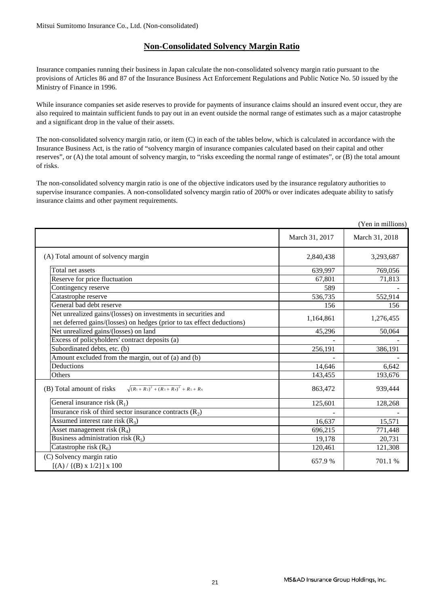### **Non-Consolidated Solvency Margin Ratio**

Insurance companies running their business in Japan calculate the non-consolidated solvency margin ratio pursuant to the provisions of Articles 86 and 87 of the Insurance Business Act Enforcement Regulations and Public Notice No. 50 issued by the Ministry of Finance in 1996.

While insurance companies set aside reserves to provide for payments of insurance claims should an insured event occur, they are also required to maintain sufficient funds to pay out in an event outside the normal range of estimates such as a major catastrophe and a significant drop in the value of their assets.

The non-consolidated solvency margin ratio, or item (C) in each of the tables below, which is calculated in accordance with the Insurance Business Act, is the ratio of "solvency margin of insurance companies calculated based on their capital and other reserves", or (A) the total amount of solvency margin, to "risks exceeding the normal range of estimates", or (B) the total amount of risks.

The non-consolidated solvency margin ratio is one of the objective indicators used by the insurance regulatory authorities to supervise insurance companies. A non-consolidated solvency margin ratio of 200% or over indicates adequate ability to satisfy insurance claims and other payment requirements.

|                                                                                                                                          |                | (Yen in millions) |
|------------------------------------------------------------------------------------------------------------------------------------------|----------------|-------------------|
|                                                                                                                                          | March 31, 2017 | March 31, 2018    |
| (A) Total amount of solvency margin                                                                                                      | 2,840,438      | 3,293,687         |
| Total net assets                                                                                                                         | 639.997        | 769,056           |
| Reserve for price fluctuation                                                                                                            | 67,801         | 71,813            |
| Contingency reserve                                                                                                                      | 589            |                   |
| Catastrophe reserve                                                                                                                      | 536,735        | 552,914           |
| General bad debt reserve                                                                                                                 | 156            | 156               |
| Net unrealized gains/(losses) on investments in securities and<br>net deferred gains/(losses) on hedges (prior to tax effect deductions) | 1,164,861      | 1,276,455         |
| Net unrealized gains/(losses) on land                                                                                                    | 45,296         | 50,064            |
| Excess of policyholders' contract deposits (a)                                                                                           |                |                   |
| Subordinated debts, etc. (b)                                                                                                             | 256,191        | 386,191           |
| Amount excluded from the margin, out of (a) and (b)                                                                                      |                |                   |
| Deductions                                                                                                                               | 14,646         | 6,642             |
| Others                                                                                                                                   | 143,455        | 193,676           |
| $\sqrt{(R_1+R_2)^2+(R_3+R_4)^2}$ + R <sub>5</sub> + R <sub>6</sub><br>(B) Total amount of risks                                          | 863,472        | 939,444           |
| General insurance risk $(R_1)$                                                                                                           | 125,601        | 128,268           |
| Insurance risk of third sector insurance contracts $(R_2)$                                                                               |                |                   |
| Assumed interest rate risk $(R_3)$                                                                                                       | 16,637         | 15,571            |
| Asset management risk $(R_4)$                                                                                                            | 696,215        | 771,448           |
| Business administration risk $(R_5)$                                                                                                     | 19,178         | 20,731            |
| Catastrophe risk $(R_6)$                                                                                                                 | 120,461        | 121,308           |
| (C) Solvency margin ratio<br>$[(A) / {(B) x 1/2}] x 100$                                                                                 | 657.9%         | 701.1%            |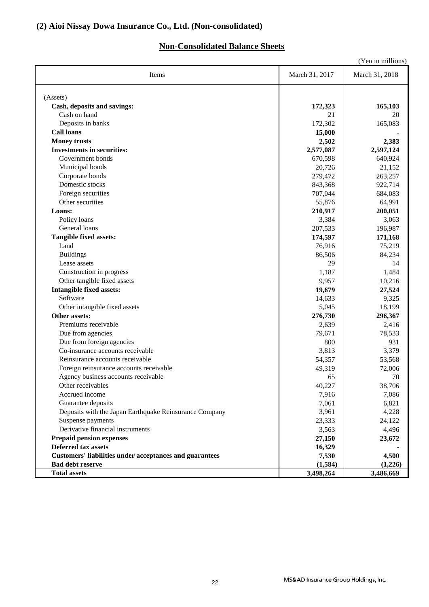### **Non-Consolidated Balance Sheets**

| (Yen in millions)                                              |                |                |
|----------------------------------------------------------------|----------------|----------------|
| Items                                                          | March 31, 2017 | March 31, 2018 |
|                                                                |                |                |
| (Assets)<br>Cash, deposits and savings:                        |                |                |
| Cash on hand                                                   | 172,323<br>21  | 165,103<br>20  |
| Deposits in banks                                              | 172,302        | 165,083        |
| <b>Call loans</b>                                              | 15,000         |                |
| <b>Money trusts</b>                                            | 2,502          | 2,383          |
| <b>Investments in securities:</b>                              | 2,577,087      | 2,597,124      |
| Government bonds                                               | 670,598        | 640,924        |
| Municipal bonds                                                | 20,726         | 21,152         |
| Corporate bonds                                                | 279,472        | 263,257        |
| Domestic stocks                                                | 843,368        | 922,714        |
| Foreign securities                                             | 707,044        | 684,083        |
| Other securities                                               | 55,876         | 64,991         |
| Loans:                                                         | 210,917        | 200,051        |
| Policy loans                                                   | 3,384          | 3,063          |
| General loans                                                  | 207,533        | 196,987        |
| <b>Tangible fixed assets:</b>                                  | 174,597        | 171,168        |
| Land                                                           | 76,916         | 75,219         |
| <b>Buildings</b>                                               | 86,506         | 84,234         |
| Lease assets                                                   | 29             | 14             |
| Construction in progress                                       | 1,187          | 1,484          |
| Other tangible fixed assets                                    | 9,957          | 10,216         |
| <b>Intangible fixed assets:</b>                                | 19,679         | 27,524         |
| Software                                                       | 14,633         | 9,325          |
| Other intangible fixed assets                                  | 5,045          | 18,199         |
| Other assets:                                                  | 276,730        | 296,367        |
| Premiums receivable                                            | 2,639          | 2,416          |
| Due from agencies                                              | 79,671         | 78,533         |
| Due from foreign agencies                                      | 800            | 931            |
| Co-insurance accounts receivable                               | 3,813          | 3,379          |
| Reinsurance accounts receivable                                | 54,357         | 53,568         |
| Foreign reinsurance accounts receivable                        | 49,319         | 72,006         |
| Agency business accounts receivable.                           | 65             | 70             |
| Other receivables                                              | 40,227         | 38,706         |
| Accrued income                                                 | 7,916          | 7,086          |
| Guarantee deposits                                             | 7,061          | 6,821          |
| Deposits with the Japan Earthquake Reinsurance Company         | 3,961          | 4,228          |
| Suspense payments                                              | 23,333         | 24,122         |
| Derivative financial instruments                               | 3,563          | 4,496          |
| <b>Prepaid pension expenses</b>                                | 27,150         | 23,672         |
| Deferred tax assets                                            | 16,329         |                |
| <b>Customers' liabilities under acceptances and guarantees</b> | 7,530          | 4,500          |
| <b>Bad debt reserve</b>                                        | (1,584)        | (1,226)        |
| <b>Total assets</b>                                            | 3,498,264      | 3,486,669      |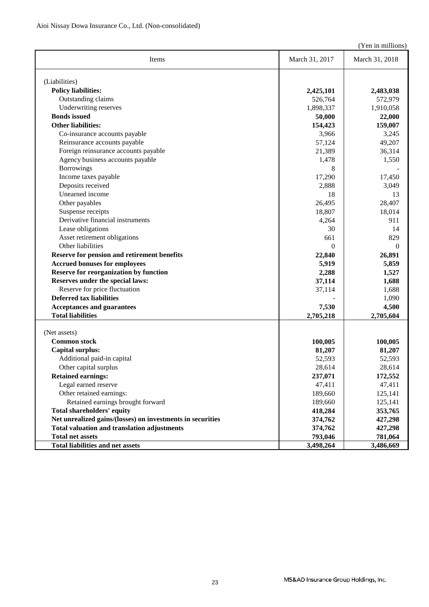(Yen in millions)

|                                                            |                | $($ r en in millions) |
|------------------------------------------------------------|----------------|-----------------------|
| Items                                                      | March 31, 2017 | March 31, 2018        |
| (Liabilities)                                              |                |                       |
| <b>Policy liabilities:</b>                                 | 2,425,101      | 2,483,038             |
| Outstanding claims                                         | 526,764        | 572,979               |
| Underwriting reserves                                      | 1,898,337      | 1,910,058             |
| <b>Bonds</b> issued                                        | 50,000         | 22,000                |
| <b>Other liabilities:</b>                                  | 154,423        | 159,007               |
| Co-insurance accounts payable                              | 3,966          | 3,245                 |
| Reinsurance accounts payable                               | 57,124         | 49,207                |
| Foreign reinsurance accounts payable                       | 21,389         | 36,314                |
| Agency business accounts payable                           | 1,478          | 1,550                 |
| <b>Borrowings</b>                                          | 8              |                       |
| Income taxes payable                                       | 17,290         | 17,450                |
| Deposits received                                          | 2,888          | 3,049                 |
| Unearned income                                            | 18             | 13                    |
| Other payables                                             | 26,495         | 28,407                |
| Suspense receipts                                          | 18,807         | 18,014                |
| Derivative financial instruments                           | 4,264          | 911                   |
| Lease obligations                                          | 30             | 14                    |
| Asset retirement obligations                               | 661            | 829                   |
| Other liabilities                                          | $\Omega$       | $\theta$              |
| Reserve for pension and retirement benefits                | 22,840         | 26,891                |
| <b>Accrued bonuses for employees</b>                       | 5,919          | 5,859                 |
| <b>Reserve for reorganization by function</b>              | 2,288          | 1,527                 |
| Reserves under the special laws:                           | 37,114         | 1,688                 |
| Reserve for price fluctuation                              | 37,114         | 1,688                 |
| <b>Deferred tax liabilities</b>                            |                | 1,090                 |
| <b>Acceptances and guarantees</b>                          | 7,530          | 4,500                 |
| <b>Total liabilities</b>                                   | 2,705,218      | 2,705,604             |
| (Net assets)                                               |                |                       |
| <b>Common stock</b>                                        | 100,005        | 100,005               |
| <b>Capital surplus:</b>                                    | 81,207         | 81,207                |
| Additional paid-in capital                                 | 52,593         | 52,593                |
| Other capital surplus                                      | 28,614         | 28,614                |
| <b>Retained earnings:</b>                                  | 237,071        | 172,552               |
| Legal earned reserve                                       | 47,411         | 47,411                |
| Other retained earnings:                                   | 189,660        | 125,141               |
| Retained earnings brought forward                          | 189,660        | 125,141               |
| <b>Total shareholders' equity</b>                          | 418,284        | 353,765               |
| Net unrealized gains/(losses) on investments in securities | 374,762        | 427,298               |
| <b>Total valuation and translation adjustments</b>         | 374,762        | 427,298               |
| <b>Total net assets</b>                                    | 793,046        | 781,064               |
| <b>Total liabilities and net assets</b>                    | 3,498,264      | 3,486,669             |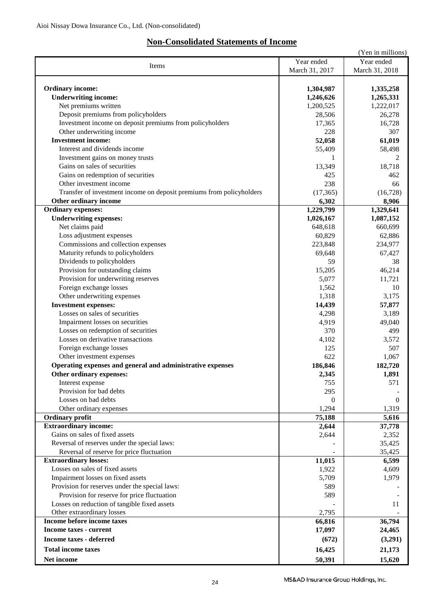### **Non-Consolidated Statements of Income**

|                                                                      |                | (Yen in millions) |
|----------------------------------------------------------------------|----------------|-------------------|
|                                                                      | Year ended     | Year ended        |
| Items                                                                | March 31, 2017 | March 31, 2018    |
|                                                                      |                |                   |
| <b>Ordinary income:</b>                                              | 1,304,987      | 1,335,258         |
| <b>Underwriting income:</b>                                          | 1,246,626      | 1,265,331         |
|                                                                      |                |                   |
| Net premiums written                                                 | 1,200,525      | 1,222,017         |
| Deposit premiums from policyholders                                  | 28,506         | 26,278            |
| Investment income on deposit premiums from policyholders             | 17,365         | 16,728            |
| Other underwriting income                                            | 228            | 307               |
| <b>Investment income:</b>                                            | 52,058         | 61,019            |
| Interest and dividends income                                        | 55,409         | 58,498            |
| Investment gains on money trusts                                     | 1              | 2                 |
| Gains on sales of securities                                         | 13,349         | 18,718            |
| Gains on redemption of securities                                    | 425            | 462               |
| Other investment income                                              | 238            | 66                |
| Transfer of investment income on deposit premiums from policyholders | (17, 365)      | (16, 728)         |
| Other ordinary income                                                | 6,302          | 8,906             |
| Ordinary expenses:                                                   | 1,229,799      | 1,329,641         |
| <b>Underwriting expenses:</b>                                        |                |                   |
|                                                                      | 1,026,167      | 1,087,152         |
| Net claims paid                                                      | 648,618        | 660,699           |
| Loss adjustment expenses                                             | 60,829         | 62,886            |
| Commissions and collection expenses                                  | 223,848        | 234,977           |
| Maturity refunds to policyholders                                    | 69,648         | 67,427            |
| Dividends to policyholders                                           | 59             | 38                |
| Provision for outstanding claims                                     | 15,205         | 46,214            |
| Provision for underwriting reserves                                  | 5,077          | 11,721            |
| Foreign exchange losses                                              | 1,562          | 10                |
| Other underwriting expenses                                          | 1,318          | 3,175             |
| <b>Investment expenses:</b>                                          | 14,439         | 57,877            |
| Losses on sales of securities                                        | 4,298          | 3,189             |
| Impairment losses on securities                                      | 4,919          | 49,040            |
| Losses on redemption of securities                                   | 370            | 499               |
| Losses on derivative transactions                                    |                |                   |
|                                                                      | 4,102          | 3,572             |
| Foreign exchange losses                                              | 125            | 507               |
| Other investment expenses                                            | 622            | 1,067             |
| Operating expenses and general and administrative expenses           | 186,846        | 182,720           |
| Other ordinary expenses:                                             | 2,345          | 1,891             |
| Interest expense                                                     | 755            | 571               |
| Provision for bad debts                                              | 295            |                   |
| Losses on bad debts                                                  | $\overline{0}$ | $\boldsymbol{0}$  |
| Other ordinary expenses                                              | 1,294          | 1,319             |
| <b>Ordinary profit</b>                                               | 75,188         | 5,616             |
| <b>Extraordinary income:</b>                                         | 2,644          | 37,778            |
| Gains on sales of fixed assets                                       | 2,644          | 2,352             |
| Reversal of reserves under the special laws:                         |                | 35,425            |
| Reversal of reserve for price fluctuation                            |                | 35,425            |
| <b>Extraordinary losses:</b>                                         | 11,015         | 6,599             |
| Losses on sales of fixed assets                                      |                |                   |
|                                                                      | 1,922          | 4,609             |
| Impairment losses on fixed assets                                    | 5,709          | 1,979             |
| Provision for reserves under the special laws:                       | 589            |                   |
| Provision for reserve for price fluctuation                          | 589            |                   |
| Losses on reduction of tangible fixed assets                         |                | 11                |
| Other extraordinary losses                                           | 2,795          |                   |
| Income before income taxes                                           | 66,816         | 36,794            |
| <b>Income taxes - current</b>                                        | 17,097         | 24,465            |
| <b>Income taxes - deferred</b>                                       | (672)          | (3,291)           |
| <b>Total income taxes</b>                                            |                |                   |
|                                                                      | 16,425         | 21,173            |
| Net income                                                           | 50,391         | 15,620            |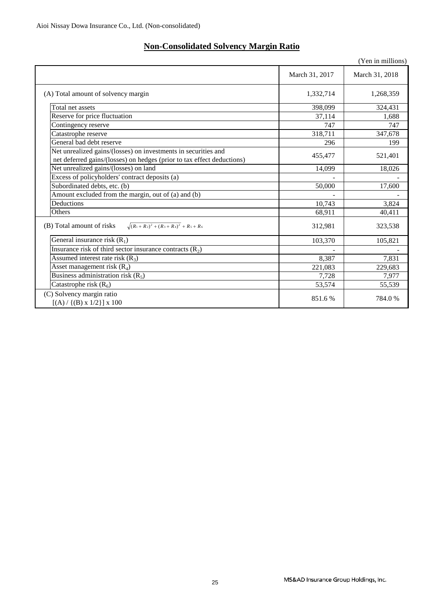| <b>Non-Consolidated Solvency Margin Ratio</b> |  |
|-----------------------------------------------|--|
|-----------------------------------------------|--|

|                                                                                                                                          |                | (Yen in millions) |
|------------------------------------------------------------------------------------------------------------------------------------------|----------------|-------------------|
|                                                                                                                                          | March 31, 2017 | March 31, 2018    |
| (A) Total amount of solvency margin                                                                                                      | 1,332,714      | 1,268,359         |
| Total net assets                                                                                                                         | 398,099        | 324,431           |
| Reserve for price fluctuation                                                                                                            | 37,114         | 1,688             |
| Contingency reserve                                                                                                                      | 747            | 747               |
| Catastrophe reserve                                                                                                                      | 318,711        | 347,678           |
| General bad debt reserve                                                                                                                 | 296            | 199               |
| Net unrealized gains/(losses) on investments in securities and<br>net deferred gains/(losses) on hedges (prior to tax effect deductions) | 455,477        | 521,401           |
| Net unrealized gains/(losses) on land                                                                                                    | 14,099         | 18,026            |
| Excess of policyholders' contract deposits (a)                                                                                           |                |                   |
| Subordinated debts, etc. (b)                                                                                                             | 50,000         | 17,600            |
| Amount excluded from the margin, out of (a) and (b)                                                                                      |                |                   |
| Deductions                                                                                                                               | 10,743         | 3,824             |
| Others                                                                                                                                   | 68,911         | 40,411            |
| $\sqrt{(R_1+R_2)^2+(R_3+R_4)^2}$ + R <sub>5</sub> + R <sub>6</sub><br>(B) Total amount of risks                                          | 312,981        | 323,538           |
| General insurance risk $(R_1)$                                                                                                           | 103,370        | 105,821           |
| Insurance risk of third sector insurance contracts $(R_2)$                                                                               |                |                   |
| Assumed interest rate risk $(R_3)$                                                                                                       | 8,387          | 7,831             |
| Asset management risk $(R_4)$                                                                                                            | 221,083        | 229,683           |
| Business administration risk $(R_5)$                                                                                                     | 7,728          | 7,977             |
| Catastrophe risk $(R_6)$                                                                                                                 | 53,574         | 55,539            |
| (C) Solvency margin ratio<br>$[(A) / {(B) x 1/2}] x 100$                                                                                 | 851.6%         | 784.0%            |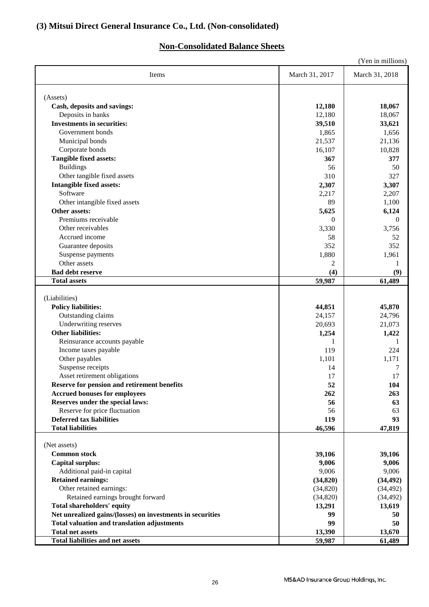### **(3) Mitsui Direct General Insurance Co., Ltd. (Non-consolidated)**

### **Non-Consolidated Balance Sheets**

|                                                            |                | (Yen in millions) |
|------------------------------------------------------------|----------------|-------------------|
| Items                                                      | March 31, 2017 | March 31, 2018    |
| (Assets)                                                   |                |                   |
| Cash, deposits and savings:                                | 12,180         | 18,067            |
| Deposits in banks                                          | 12,180         | 18,067            |
| <b>Investments in securities:</b>                          | 39,510         | 33,621            |
| Government bonds                                           | 1,865          | 1,656             |
| Municipal bonds                                            | 21,537         | 21,136            |
| Corporate bonds                                            | 16,107         | 10,828            |
| <b>Tangible fixed assets:</b>                              | 367            | 377               |
| <b>Buildings</b>                                           | 56             | 50                |
| Other tangible fixed assets                                | 310            | 327               |
| <b>Intangible fixed assets:</b>                            | 2,307          | 3,307             |
| Software                                                   | 2,217          | 2,207             |
| Other intangible fixed assets                              | 89             | 1,100             |
| Other assets:                                              | 5,625          | 6,124             |
| Premiums receivable                                        | $\theta$       | $\theta$          |
| Other receivables                                          | 3,330          | 3,756             |
| Accrued income                                             | 58             | 52                |
| Guarantee deposits                                         | 352            | 352               |
| Suspense payments                                          | 1,880          | 1,961             |
| Other assets                                               |                |                   |
| <b>Bad debt reserve</b>                                    | 2              | 1                 |
|                                                            | (4)            | (9)               |
| <b>Total assets</b>                                        | 59,987         | 61,489            |
| (Liabilities)                                              |                |                   |
| <b>Policy liabilities:</b>                                 | 44,851         | 45,870            |
| Outstanding claims                                         | 24,157         | 24,796            |
| Underwriting reserves                                      | 20,693         | 21,073            |
| <b>Other liabilities:</b>                                  | 1,254          | 1,422             |
| Reinsurance accounts payable                               | 1              | 1                 |
| Income taxes payable                                       | 119            | 224               |
| Other payables                                             | 1,101          | 1,171             |
| Suspense receipts                                          | 14             | 7                 |
| Asset retirement obligations                               | 17             | 17                |
| Reserve for pension and retirement benefits                | 52             | 104               |
| <b>Accrued bonuses for employees</b>                       | 262            | 263               |
| Reserves under the special laws:                           | 56             | 63                |
| Reserve for price fluctuation                              | 56             | 63                |
| <b>Deferred tax liabilities</b>                            | 119            | 93                |
| <b>Total liabilities</b>                                   | 46,596         | 47,819            |
|                                                            |                |                   |
| (Net assets)                                               |                |                   |
| <b>Common stock</b>                                        | 39,106         | 39,106            |
| <b>Capital surplus:</b>                                    | 9,006          | 9,006             |
| Additional paid-in capital                                 | 9,006          | 9,006             |
| <b>Retained earnings:</b>                                  | (34, 820)      | (34, 492)         |
| Other retained earnings:                                   | (34, 820)      | (34, 492)         |
| Retained earnings brought forward                          | (34,820)       | (34, 492)         |
| <b>Total shareholders' equity</b>                          | 13,291         | 13,619            |
| Net unrealized gains/(losses) on investments in securities | 99             | 50                |
| <b>Total valuation and translation adjustments</b>         | 99             | 50                |
| <b>Total net assets</b>                                    | 13,390         | 13,670            |
| <b>Total liabilities and net assets</b>                    | 59,987         | 61,489            |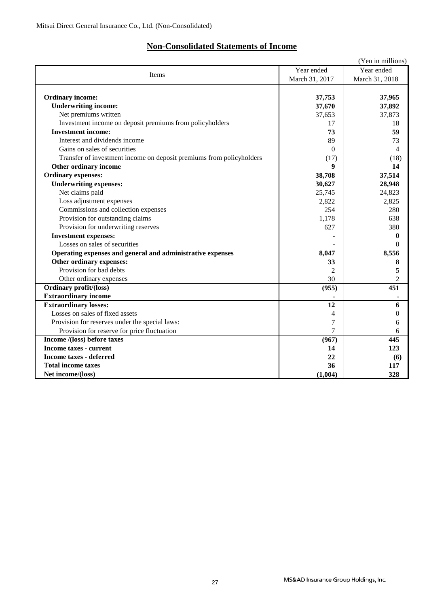## **Non-Consolidated Statements of Income**

|                                                                      |                | (Yen in millions) |
|----------------------------------------------------------------------|----------------|-------------------|
| Items                                                                | Year ended     | Year ended        |
|                                                                      | March 31, 2017 | March 31, 2018    |
|                                                                      |                |                   |
| <b>Ordinary income:</b>                                              | 37,753         | 37,965            |
| <b>Underwriting income:</b>                                          | 37,670         | 37,892            |
| Net premiums written                                                 | 37,653         | 37,873            |
| Investment income on deposit premiums from policyholders             | 17             | 18                |
| <b>Investment income:</b>                                            | 73             | 59                |
| Interest and dividends income                                        | 89             | 73                |
| Gains on sales of securities                                         | $\Omega$       | 4                 |
| Transfer of investment income on deposit premiums from policyholders | (17)           | (18)              |
| Other ordinary income                                                | 9              | 14                |
| <b>Ordinary expenses:</b>                                            | 38,708         | 37,514            |
| <b>Underwriting expenses:</b>                                        | 30,627         | 28,948            |
| Net claims paid                                                      | 25,745         | 24,823            |
| Loss adjustment expenses                                             | 2,822          | 2,825             |
| Commissions and collection expenses                                  | 254            | 280               |
| Provision for outstanding claims                                     | 1,178          | 638               |
| Provision for underwriting reserves                                  | 627            | 380               |
| <b>Investment expenses:</b>                                          |                | $\bf{0}$          |
| Losses on sales of securities                                        |                | $\Omega$          |
| Operating expenses and general and administrative expenses           | 8,047          | 8,556             |
| Other ordinary expenses:                                             | 33             | 8                 |
| Provision for bad debts                                              | $\mathfrak{D}$ | 5                 |
| Other ordinary expenses                                              | 30             | $\overline{c}$    |
| <b>Ordinary profit/(loss)</b>                                        | (955)          | 451               |
| <b>Extraordinary income</b>                                          |                |                   |
| <b>Extraordinary losses:</b>                                         | 12             | 6                 |
| Losses on sales of fixed assets                                      | 4              | $\theta$          |
| Provision for reserves under the special laws:                       | 7              | 6                 |
| Provision for reserve for price fluctuation                          | 7              | 6                 |
| Income /(loss) before taxes                                          | (967)          | 445               |
| <b>Income taxes - current</b>                                        | 14             | 123               |
| <b>Income taxes - deferred</b>                                       | 22             | (6)               |
| <b>Total income taxes</b>                                            | 36             | 117               |
| Net income/(loss)                                                    | (1,004)        | 328               |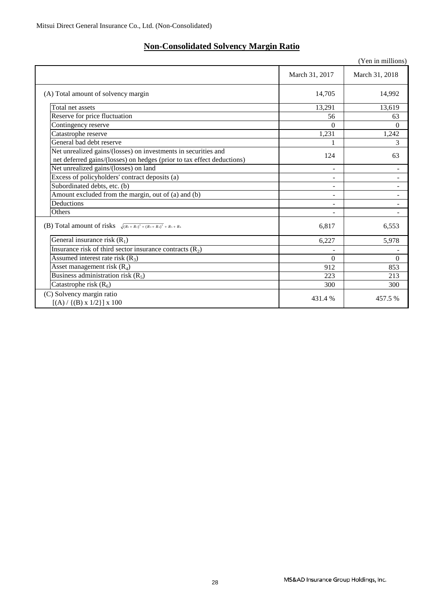## **Non-Consolidated Solvency Margin Ratio**

|                                                                                                                                          |                | (Yen in millions)        |
|------------------------------------------------------------------------------------------------------------------------------------------|----------------|--------------------------|
|                                                                                                                                          | March 31, 2017 | March 31, 2018           |
| (A) Total amount of solvency margin                                                                                                      | 14,705         | 14,992                   |
| Total net assets                                                                                                                         | 13,291         | 13,619                   |
| Reserve for price fluctuation                                                                                                            | 56             | 63                       |
| Contingency reserve                                                                                                                      | $\Omega$       | $\Omega$                 |
| Catastrophe reserve                                                                                                                      | 1,231          | 1,242                    |
| General bad debt reserve                                                                                                                 |                | 3                        |
| Net unrealized gains/(losses) on investments in securities and<br>net deferred gains/(losses) on hedges (prior to tax effect deductions) | 124            | 63                       |
| Net unrealized gains/(losses) on land                                                                                                    |                |                          |
| Excess of policyholders' contract deposits (a)                                                                                           | ÷              | $\blacksquare$           |
| Subordinated debts, etc. (b)                                                                                                             | ۰              | $\overline{\phantom{a}}$ |
| Amount excluded from the margin, out of (a) and (b)                                                                                      | Ξ.             | $\overline{\phantom{a}}$ |
| Deductions                                                                                                                               |                |                          |
| Others                                                                                                                                   |                | $\overline{\phantom{a}}$ |
| (B) Total amount of risks $\sqrt{(R_1+R_2)^2+(R_3+R_4)^2}$ + $R_5+R_6$                                                                   | 6,817          | 6,553                    |
| General insurance risk $(R_1)$                                                                                                           | 6,227          | 5,978                    |
| Insurance risk of third sector insurance contracts $(R_2)$                                                                               |                |                          |
| Assumed interest rate risk $(R_3)$                                                                                                       | $\theta$       | $\Omega$                 |
| Asset management risk $(R_4)$                                                                                                            | 912            | 853                      |
| Business administration risk $(R_5)$                                                                                                     | 223            | 213                      |
| Catastrophe risk $(R_6)$                                                                                                                 | 300            | 300                      |
| (C) Solvency margin ratio<br>$[(A) / {(B) x 1/2}] x 100$                                                                                 | 431.4%         | 457.5%                   |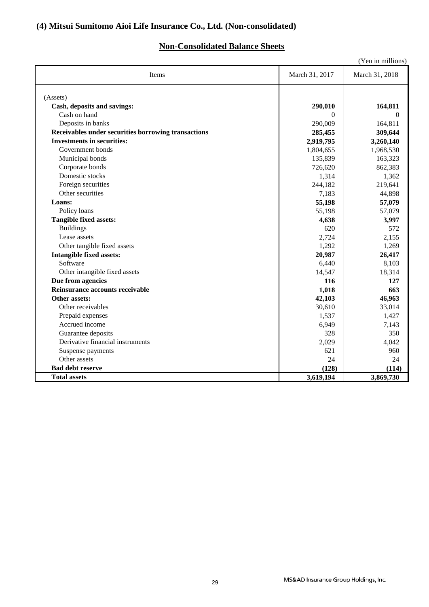### **(4) Mitsui Sumitomo Aioi Life Insurance Co., Ltd. (Non-consolidated)**

### **Non-Consolidated Balance Sheets**

|                                                     |                | (Yen in millions) |
|-----------------------------------------------------|----------------|-------------------|
| Items                                               | March 31, 2017 | March 31, 2018    |
| (Assets)                                            |                |                   |
| Cash, deposits and savings:                         | 290,010        | 164,811           |
| Cash on hand                                        | $\Omega$       | $\Omega$          |
| Deposits in banks                                   | 290,009        | 164,811           |
| Receivables under securities borrowing transactions | 285,455        | 309,644           |
| <b>Investments in securities:</b>                   | 2,919,795      | 3,260,140         |
| Government bonds                                    | 1,804,655      | 1,968,530         |
| Municipal bonds                                     | 135,839        | 163,323           |
| Corporate bonds                                     | 726,620        | 862,383           |
| Domestic stocks                                     | 1,314          | 1,362             |
| Foreign securities                                  | 244,182        | 219,641           |
| Other securities                                    | 7,183          | 44,898            |
| Loans:                                              | 55,198         | 57,079            |
| Policy loans                                        | 55,198         | 57,079            |
| <b>Tangible fixed assets:</b>                       | 4,638          | 3,997             |
| <b>Buildings</b>                                    | 620            | 572               |
| Lease assets                                        | 2,724          | 2,155             |
| Other tangible fixed assets                         | 1,292          | 1,269             |
| <b>Intangible fixed assets:</b>                     | 20,987         | 26,417            |
| Software                                            | 6,440          | 8,103             |
| Other intangible fixed assets                       | 14,547         | 18,314            |
| Due from agencies                                   | 116            | 127               |
| Reinsurance accounts receivable                     | 1,018          | 663               |
| Other assets:                                       | 42,103         | 46,963            |
| Other receivables                                   | 30,610         | 33,014            |
| Prepaid expenses                                    | 1,537          | 1,427             |
| Accrued income                                      | 6,949          | 7,143             |
| Guarantee deposits                                  | 328            | 350               |
| Derivative financial instruments                    | 2,029          | 4,042             |
| Suspense payments                                   | 621            | 960               |
| Other assets                                        | 24             | 24                |
| <b>Bad debt reserve</b>                             | (128)          | (114)             |
| <b>Total assets</b>                                 | 3,619,194      | 3,869,730         |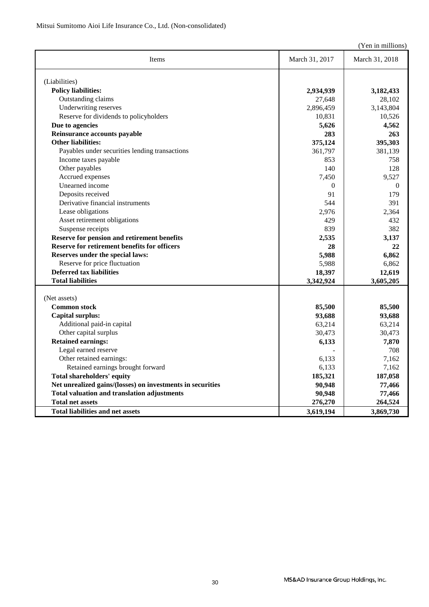(Yen in millions)

| Items                                                      | March 31, 2017 | March 31, 2018 |
|------------------------------------------------------------|----------------|----------------|
| (Liabilities)                                              |                |                |
| <b>Policy liabilities:</b>                                 | 2,934,939      | 3,182,433      |
| Outstanding claims                                         | 27,648         | 28,102         |
| Underwriting reserves                                      | 2,896,459      | 3,143,804      |
| Reserve for dividends to policyholders                     | 10,831         | 10,526         |
| Due to agencies                                            | 5,626          | 4,562          |
| Reinsurance accounts payable                               | 283            | 263            |
| <b>Other liabilities:</b>                                  | 375,124        | 395,303        |
| Payables under securities lending transactions             | 361,797        | 381,139        |
| Income taxes payable                                       | 853            | 758            |
| Other payables                                             | 140            | 128            |
| Accrued expenses                                           | 7,450          | 9.527          |
| Unearned income                                            | $\overline{0}$ | $\overline{0}$ |
| Deposits received                                          | 91             | 179            |
| Derivative financial instruments                           | 544            | 391            |
| Lease obligations                                          | 2.976          | 2.364          |
| Asset retirement obligations                               | 429            | 432            |
| Suspense receipts                                          | 839            | 382            |
| Reserve for pension and retirement benefits                | 2,535          | 3,137          |
| Reserve for retirement benefits for officers               | 28             | 22             |
| Reserves under the special laws:                           | 5,988          | 6,862          |
| Reserve for price fluctuation                              | 5,988          | 6,862          |
| <b>Deferred tax liabilities</b>                            | 18,397         | 12,619         |
| <b>Total liabilities</b>                                   | 3,342,924      | 3,605,205      |
|                                                            |                |                |
| (Net assets)                                               |                |                |
| <b>Common stock</b>                                        | 85,500         | 85,500         |
| <b>Capital surplus:</b>                                    | 93,688         | 93,688         |
| Additional paid-in capital                                 | 63,214         | 63,214         |
| Other capital surplus                                      | 30.473         | 30,473         |
| <b>Retained earnings:</b>                                  | 6,133          | 7,870          |
| Legal earned reserve                                       |                | 708            |
| Other retained earnings:                                   | 6.133          | 7.162          |
| Retained earnings brought forward                          | 6,133          | 7,162          |
| <b>Total shareholders' equity</b>                          | 185,321        | 187,058        |
| Net unrealized gains/(losses) on investments in securities | 90,948         | 77,466         |
| <b>Total valuation and translation adjustments</b>         | 90,948         | 77,466         |
| <b>Total net assets</b>                                    | 276,270        | 264,524        |
| <b>Total liabilities and net assets</b>                    | 3,619,194      | 3,869,730      |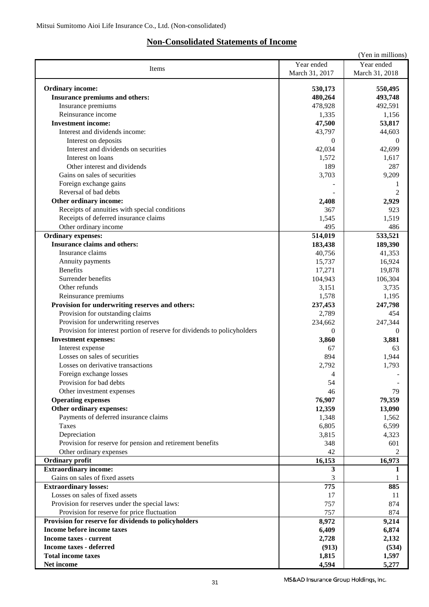### **Non-Consolidated Statements of Income**

|                                                                          |                | (Yen in millions) |
|--------------------------------------------------------------------------|----------------|-------------------|
|                                                                          | Year ended     | Year ended        |
| Items                                                                    | March 31, 2017 | March 31, 2018    |
|                                                                          |                |                   |
| <b>Ordinary income:</b>                                                  | 530,173        | 550,495           |
| Insurance premiums and others:                                           | 480,264        | 493,748           |
| Insurance premiums                                                       | 478,928        | 492,591           |
| Reinsurance income                                                       | 1,335          | 1,156             |
| <b>Investment income:</b>                                                | 47,500         | 53,817            |
| Interest and dividends income:                                           | 43,797         | 44,603            |
| Interest on deposits                                                     | $\Omega$       | $\theta$          |
| Interest and dividends on securities                                     | 42,034         | 42,699            |
| Interest on loans                                                        | 1,572          | 1,617             |
| Other interest and dividends                                             | 189            | 287               |
| Gains on sales of securities                                             | 3,703          | 9,209             |
| Foreign exchange gains                                                   |                | 1                 |
| Reversal of bad debts                                                    |                | $\overline{c}$    |
| Other ordinary income:                                                   | 2,408          | 2,929             |
| Receipts of annuities with special conditions                            | 367            | 923               |
|                                                                          |                |                   |
| Receipts of deferred insurance claims                                    | 1,545          | 1,519             |
| Other ordinary income                                                    | 495            | 486               |
| <b>Ordinary expenses:</b>                                                | 514,019        | 533,521           |
| <b>Insurance claims and others:</b>                                      | 183,438        | 189,390           |
| Insurance claims                                                         | 40,756         | 41,353            |
| Annuity payments                                                         | 15,737         | 16,924            |
| <b>Benefits</b>                                                          | 17,271         | 19,878            |
| Surrender benefits                                                       | 104,943        | 106,304           |
| Other refunds                                                            | 3,151          | 3,735             |
| Reinsurance premiums                                                     | 1,578          | 1,195             |
| Provision for underwriting reserves and others:                          | 237,453        | 247,798           |
| Provision for outstanding claims                                         | 2,789          | 454               |
| Provision for underwriting reserves                                      | 234,662        | 247,344           |
| Provision for interest portion of reserve for dividends to policyholders | $\Omega$       | $\Omega$          |
| <b>Investment expenses:</b>                                              | 3,860          | 3,881             |
| Interest expense                                                         | 67             | 63                |
| Losses on sales of securities                                            | 894            | 1,944             |
| Losses on derivative transactions                                        | 2,792          | 1,793             |
| Foreign exchange losses                                                  | $\overline{4}$ |                   |
| Provision for bad debts                                                  | 54             |                   |
| Other investment expenses                                                | 46             | 79                |
| <b>Operating expenses</b>                                                | 76,907         | 79,359            |
| Other ordinary expenses:                                                 | 12,359         | 13,090            |
| Payments of deferred insurance claims                                    | 1,348          | 1,562             |
| Taxes                                                                    | 6,805          | 6,599             |
| Depreciation                                                             | 3,815          | 4,323             |
| Provision for reserve for pension and retirement benefits                | 348            | 601               |
| Other ordinary expenses                                                  | 42             | 2                 |
| Ordinary profit                                                          | 16,153         | 16,973            |
| <b>Extraordinary income:</b>                                             | 3              | 1                 |
| Gains on sales of fixed assets                                           | 3              |                   |
| <b>Extraordinary losses:</b>                                             | 775            | 885               |
| Losses on sales of fixed assets                                          |                | 11                |
| Provision for reserves under the special laws:                           | 17<br>757      | 874               |
|                                                                          |                |                   |
| Provision for reserve for price fluctuation                              | 757            | 874               |
| Provision for reserve for dividends to policyholders                     | 8,972          | 9,214             |
| Income before income taxes                                               | 6,409          | 6,874             |
| <b>Income taxes - current</b>                                            | 2,728          | 2,132             |
| <b>Income taxes - deferred</b>                                           | (913)          | (534)             |
| <b>Total income taxes</b>                                                | 1,815          | 1,597             |
| Net income                                                               | 4,594          | 5,277             |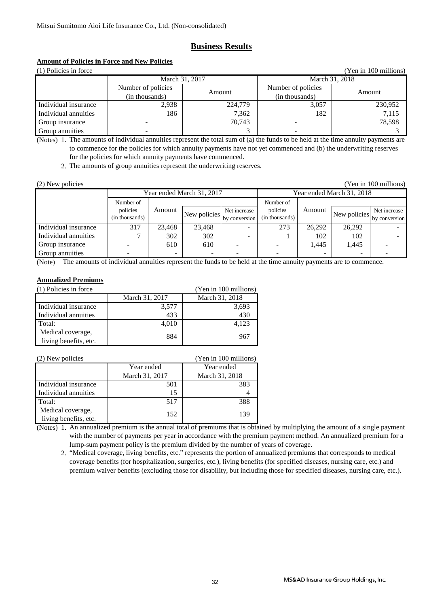### **Business Results**

### **Amount of Policies in Force and New Policies**

| (1) Policies in force<br>(Yen in 100 millions) |                    |                |                    |         |
|------------------------------------------------|--------------------|----------------|--------------------|---------|
| March 31, 2017                                 |                    | March 31, 2018 |                    |         |
|                                                | Number of policies | Amount         | Number of policies | Amount  |
|                                                | (in thousands)     |                | (in thousands)     |         |
| Individual insurance                           | 2,938              | 224,779        | 3,057              | 230,952 |
| Individual annuities                           | 186                | 7,362          | 182                | 7,115   |
| Group insurance                                |                    | 70.743         |                    | 78,598  |
| Group annuities                                |                    |                |                    |         |

(Notes) 1. The amounts of individual annuities represent the total sum of (a) the funds to be held at the time annuity payments are to commence for the policies for which annuity payments have not yet commenced and (b) the underwriting reserves for the policies for which annuity payments have commenced.

2. The amounts of group annuities represent the underwriting reserves.

| (2) New policies<br>Yen in 100 millions |                            |                          |              |                               |                            |        |              |                               |
|-----------------------------------------|----------------------------|--------------------------|--------------|-------------------------------|----------------------------|--------|--------------|-------------------------------|
|                                         | Year ended March 31, 2017  |                          |              | Year ended March 31, 2018     |                            |        |              |                               |
|                                         | Number of                  |                          |              |                               | Number of                  |        |              |                               |
|                                         | policies<br>(in thousands) | Amount                   | New policies | Net increase<br>by conversion | policies<br>(in thousands) | Amount | New policies | Net increase<br>by conversion |
| Individual insurance                    | 317                        | 23.468                   | 23.468       |                               | 273                        | 26.292 | 26,292       |                               |
| Individual annuities                    |                            | 302                      | 302          | -                             |                            | 102    | 102          |                               |
| Group insurance                         |                            | 610                      | 610          |                               |                            | 1.445  | 1,445        |                               |
| Group annuities                         |                            | $\overline{\phantom{0}}$ |              |                               |                            |        |              |                               |

(Note) The amounts of individual annuities represent the funds to be held at the time annuity payments are to commence.

### **Annualized Premiums**

| (1) Policies in force |                | (Yen in 100 millions) |
|-----------------------|----------------|-----------------------|
|                       | March 31, 2017 | March 31, 2018        |
| Individual insurance  | 3,577          | 3,693                 |
| Individual annuities  | 433            | 430                   |
| Total:                | 4,010          | 4,123                 |
| Medical coverage,     | 884            | 967                   |
| living benefits, etc. |                |                       |

| (2) New policies                           |                | (Yen in 100 millions) |
|--------------------------------------------|----------------|-----------------------|
|                                            | Year ended     | Year ended            |
|                                            | March 31, 2017 | March 31, 2018        |
| Individual insurance                       | 501            | 383                   |
| Individual annuities                       | 15             |                       |
| Total:                                     | 517            | 388                   |
| Medical coverage,<br>living benefits, etc. | 152            | 139                   |

(Notes) 1. An annualized premium is the annual total of premiums that is obtained by multiplying the amount of a single payment with the number of payments per year in accordance with the premium payment method. An annualized premium for a lump-sum payment policy is the premium divided by the number of years of coverage.

 2. "Medical coverage, living benefits, etc." represents the portion of annualized premiums that corresponds to medical coverage benefits (for hospitalization, surgeries, etc.), living benefits (for specified diseases, nursing care, etc.) and premium waiver benefits (excluding those for disability, but including those for specified diseases, nursing care, etc.).

MS&AD Insurance Group Holdings, Inc.

(Yen in 100 millions)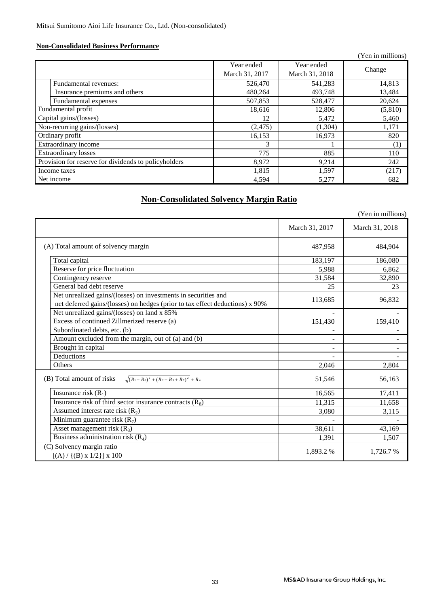### **Non-Consolidated Business Performance**

|                                                      |                |                | r en in millions) |
|------------------------------------------------------|----------------|----------------|-------------------|
|                                                      | Year ended     | Year ended     | Change            |
|                                                      | March 31, 2017 | March 31, 2018 |                   |
| Fundamental revenues:                                | 526,470        | 541,283        | 14,813            |
| Insurance premiums and others                        | 480,264        | 493,748        | 13,484            |
| Fundamental expenses                                 | 507,853        | 528,477        | 20,624            |
| Fundamental profit                                   | 18,616         | 12,806         | (5,810)           |
| Capital gains/(losses)                               | 12             | 5,472          | 5,460             |
| Non-recurring gains/(losses)                         | (2, 475)       | (1,304)        | 1,171             |
| Ordinary profit                                      | 16,153         | 16,973         | 820               |
| Extraordinary income                                 | 3              |                | (1)               |
| <b>Extraordinary losses</b>                          | 775            | 885            | 110               |
| Provision for reserve for dividends to policyholders | 8,972          | 9,214          | 242               |
| Income taxes                                         | 1,815          | 1,597          | (217)             |
| Net income                                           | 4,594          | 5,277          | 682               |

### **Non-Consolidated Solvency Margin Ratio**

|                                                                                                                                                |                | (Yen in millions) |
|------------------------------------------------------------------------------------------------------------------------------------------------|----------------|-------------------|
|                                                                                                                                                | March 31, 2017 | March 31, 2018    |
| (A) Total amount of solvency margin                                                                                                            | 487,958        | 484,904           |
| Total capital                                                                                                                                  | 183,197        | 186,080           |
| Reserve for price fluctuation                                                                                                                  | 5,988          | 6,862             |
| Contingency reserve                                                                                                                            | 31,584         | 32,890            |
| General bad debt reserve                                                                                                                       | 25             | 23                |
| Net unrealized gains/(losses) on investments in securities and<br>net deferred gains/(losses) on hedges (prior to tax effect deductions) x 90% | 113,685        | 96,832            |
| Net unrealized gains/(losses) on land x 85%                                                                                                    |                |                   |
| Excess of continued Zillmerized reserve (a)                                                                                                    | 151,430        | 159,410           |
| Subordinated debts, etc. (b)                                                                                                                   |                |                   |
| Amount excluded from the margin, out of (a) and (b)                                                                                            |                |                   |
| Brought in capital                                                                                                                             |                |                   |
| Deductions                                                                                                                                     |                |                   |
| Others                                                                                                                                         | 2,046          | 2,804             |
| $\sqrt{(R_1+R_8)^2+(R_2+R_3+R_7)^2}$ + R <sub>4</sub><br>(B) Total amount of risks                                                             | 51,546         | 56,163            |
| Insurance risk $(R_1)$                                                                                                                         | 16,565         | 17,411            |
| Insurance risk of third sector insurance contracts $(R_8)$                                                                                     | 11,315         | 11,658            |
| Assumed interest rate risk $(R_2)$                                                                                                             | 3,080          | 3,115             |
| Minimum guarantee risk $(R_7)$                                                                                                                 |                |                   |
| Asset management risk $(R_3)$                                                                                                                  | 38,611         | 43,169            |
| Business administration risk $(R_4)$                                                                                                           | 1,391          | 1,507             |
| (C) Solvency margin ratio<br>$[(A) / {(B) x 1/2}] x 100$                                                                                       | 1,893.2 %      | 1,726.7 %         |

 $\alpha$  in millions)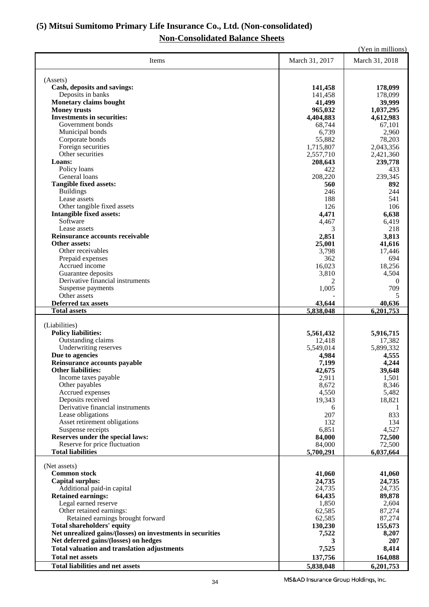### **(5) Mitsui Sumitomo Primary Life Insurance Co., Ltd. (Non-consolidated) Non-Consolidated Balance Sheets**

|                                                                        |                    | (Yen in millions)  |
|------------------------------------------------------------------------|--------------------|--------------------|
| Items                                                                  | March 31, 2017     | March 31, 2018     |
|                                                                        |                    |                    |
| (Assets)<br>Cash, deposits and savings:                                |                    |                    |
| Deposits in banks                                                      | 141,458<br>141,458 | 178,099<br>178,099 |
| <b>Monetary claims bought</b>                                          | 41,499             | 39,999             |
| <b>Money trusts</b>                                                    | 965,032            | 1,037,295          |
| <b>Investments in securities:</b>                                      | 4,404,883          | 4,612,983          |
| Government bonds                                                       | 68,744             | 67,101             |
| Municipal bonds                                                        | 6,739              | 2,960              |
| Corporate bonds                                                        | 55,882             | 78,203             |
| Foreign securities                                                     | 1,715,807          | 2,043,356          |
| Other securities                                                       | 2,557,710          | 2,421,360          |
| Loans:                                                                 | 208,643            | 239,778            |
| Policy loans                                                           | 422                | 433                |
| General loans                                                          | 208,220            | 239,345            |
| <b>Tangible fixed assets:</b><br><b>Buildings</b>                      | 560<br>246         | 892<br>244         |
| Lease assets                                                           | 188                | 541                |
| Other tangible fixed assets                                            | 126                | 106                |
| <b>Intangible fixed assets:</b>                                        | 4,471              | 6,638              |
| Software                                                               | 4,467              | 6,419              |
| Lease assets                                                           | 3                  | 218                |
| Reinsurance accounts receivable                                        | 2,851              | 3,813              |
| Other assets:                                                          | 25,001             | 41,616             |
| Other receivables                                                      | 3,798              | 17,446             |
| Prepaid expenses                                                       | 362                | 694                |
| Accrued income                                                         | 16,023             | 18,256             |
| Guarantee deposits                                                     | 3,810              | 4,504              |
| Derivative financial instruments                                       | 2                  | $\theta$           |
| Suspense payments<br>Other assets                                      | 1,005              | 709                |
| <b>Deferred tax assets</b>                                             | 43,644             | 5<br>40,636        |
| <b>Total assets</b>                                                    | 5,838,048          | 6,201,753          |
|                                                                        |                    |                    |
| (Liabilities)                                                          |                    |                    |
| <b>Policy liabilities:</b>                                             | 5,561,432          | 5,916,715          |
| Outstanding claims                                                     | 12,418             | 17,382             |
| Underwriting reserves                                                  | 5,549,014          | 5,899,332          |
| Due to agencies                                                        | 4,984              | 4,555              |
| Reinsurance accounts payable<br><b>Other liabilities:</b>              | 7,199<br>42,675    | 4,244              |
| Income taxes payable                                                   | 2,911              | 39,648<br>1,501    |
| Other payables                                                         | 8,672              | 8,346              |
| Accrued expenses                                                       | 4,550              | 5,482              |
| Deposits received                                                      | 19,343             | 18,821             |
| Derivative financial instruments                                       | 6                  |                    |
| Lease obligations                                                      | 207                | 833                |
| Asset retirement obligations                                           | 132                | 134                |
| Suspense receipts                                                      | 6,851              | 4,527              |
| Reserves under the special laws:                                       | 84,000             | 72,500             |
| Reserve for price fluctuation<br><b>Total liabilities</b>              | 84,000             | 72,500             |
|                                                                        | 5,700,291          | 6,037,664          |
| (Net assets)                                                           |                    |                    |
| <b>Common stock</b>                                                    | 41,060             | 41,060             |
| <b>Capital surplus:</b>                                                | 24,735             | 24,735             |
| Additional paid-in capital                                             | 24,735             | 24,735             |
| <b>Retained earnings:</b>                                              | 64,435             | 89,878             |
| Legal earned reserve                                                   | 1,850              | 2,604              |
| Other retained earnings:                                               | 62,585             | 87,274             |
| Retained earnings brought forward<br><b>Total shareholders' equity</b> | 62,585<br>130,230  | 87,274<br>155,673  |
| Net unrealized gains/(losses) on investments in securities             | 7,522              | 8,207              |
| Net deferred gains/(losses) on hedges                                  | 3                  | 207                |
| <b>Total valuation and translation adjustments</b>                     | 7,525              | 8,414              |
| <b>Total net assets</b>                                                | 137,756            | 164,088            |
| <b>Total liabilities and net assets</b>                                | 5,838,048          | 6,201,753          |
|                                                                        |                    |                    |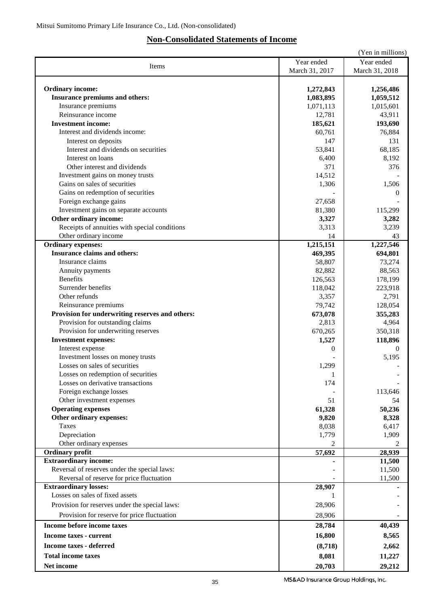## **Non-Consolidated Statements of Income**

|                                                 |                | (Yen in millions) |
|-------------------------------------------------|----------------|-------------------|
|                                                 | Year ended     | Year ended        |
| Items                                           | March 31, 2017 | March 31, 2018    |
|                                                 |                |                   |
| <b>Ordinary income:</b>                         | 1,272,843      | 1,256,486         |
| Insurance premiums and others:                  | 1,083,895      | 1,059,512         |
| Insurance premiums                              | 1,071,113      | 1,015,601         |
| Reinsurance income                              | 12,781         | 43,911            |
| <b>Investment income:</b>                       |                |                   |
|                                                 | 185,621        | 193,690           |
| Interest and dividends income:                  | 60,761         | 76,884            |
| Interest on deposits                            | 147            | 131               |
| Interest and dividends on securities            | 53,841         | 68,185            |
| Interest on loans                               | 6,400          | 8,192             |
| Other interest and dividends                    | 371            | 376               |
| Investment gains on money trusts                | 14,512         |                   |
| Gains on sales of securities                    | 1,306          | 1,506             |
| Gains on redemption of securities               |                | 0                 |
| Foreign exchange gains                          | 27,658         |                   |
| Investment gains on separate accounts           | 81,380         | 115,299           |
| Other ordinary income:                          | 3,327          | 3,282             |
| Receipts of annuities with special conditions   | 3,313          | 3,239             |
| Other ordinary income                           | 14             | 43                |
| <b>Ordinary expenses:</b>                       | 1,215,151      | 1,227,546         |
| <b>Insurance claims and others:</b>             | 469,395        | 694,801           |
| Insurance claims                                | 58,807         | 73,274            |
| Annuity payments                                | 82,882         | 88,563            |
| <b>Benefits</b>                                 | 126,563        | 178,199           |
| Surrender benefits                              | 118,042        | 223,918           |
| Other refunds                                   | 3,357          | 2,791             |
| Reinsurance premiums                            | 79,742         | 128,054           |
|                                                 |                |                   |
| Provision for underwriting reserves and others: | 673,078        | 355,283           |
| Provision for outstanding claims                | 2,813          | 4,964             |
| Provision for underwriting reserves             | 670,265        | 350,318           |
| <b>Investment expenses:</b>                     | 1,527          | 118,896           |
| Interest expense                                | $\Omega$       | 0                 |
| Investment losses on money trusts               |                | 5,195             |
| Losses on sales of securities                   | 1,299          |                   |
| Losses on redemption of securities              | 1              |                   |
| Losses on derivative transactions               | 174            |                   |
| Foreign exchange losses                         |                | 113,646           |
| Other investment expenses                       | 51             | 54                |
| <b>Operating expenses</b>                       | 61,328         | 50,236            |
| Other ordinary expenses:                        | 9,820          | 8,328             |
| <b>Taxes</b>                                    | 8,038          | 6,417             |
| Depreciation                                    | 1,779          | 1,909             |
| Other ordinary expenses                         | 2              | 2                 |
| <b>Ordinary profit</b>                          | 57,692         | 28,939            |
| <b>Extraordinary income:</b>                    |                | 11,500            |
| Reversal of reserves under the special laws:    |                | 11,500            |
| Reversal of reserve for price fluctuation       |                | 11,500            |
| <b>Extraordinary losses:</b>                    | 28,907         |                   |
| Losses on sales of fixed assets                 | 1              |                   |
|                                                 |                |                   |
| Provision for reserves under the special laws:  | 28,906         |                   |
| Provision for reserve for price fluctuation     | 28,906         |                   |
| Income before income taxes                      | 28,784         | 40,439            |
| Income taxes - current                          | 16,800         | 8,565             |
| <b>Income taxes - deferred</b>                  | (8,718)        | 2,662             |
|                                                 |                |                   |
| <b>Total income taxes</b>                       | 8,081          | 11,227            |
| Net income                                      | 20,703         | 29,212            |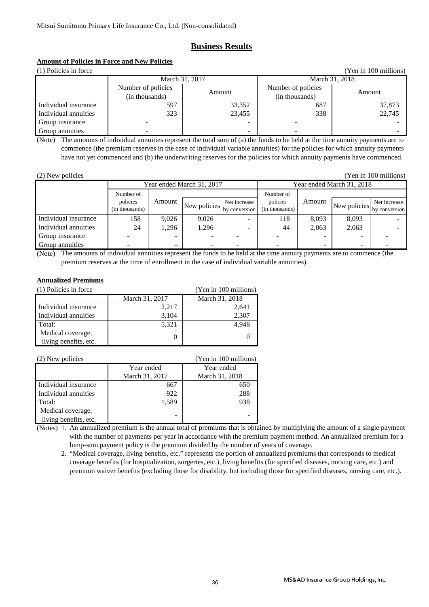### **Business Results**

### **Amount of Policies in Force and New Policies**

(1) Policies in force (Yen in 100 millions) Amount Number of policies Amount Individual insurance Individual annuities Group insurance 323 23,455 338 22,745 - -- - Group annuities - -- - March 31, 2017 March 31, 2018 Number of policies (in thousands) (in thousands) 597 33,352 687 37,873

(Note) The amounts of individual annuities represent the total sum of (a) the funds to be held at the time annuity payments are to commence (the premium reserves in the case of individual variable annuities) for the policies for which annuity payments have not yet commenced and (b) the underwriting reserves for the policies for which annuity payments have commenced.

| (2) New policies |  |
|------------------|--|
|                  |  |

(Yen in 100 millions)

|                      | Year ended March 31, 2017 |        |              | Year ended March 31, 2018 |                |                    |               |               |
|----------------------|---------------------------|--------|--------------|---------------------------|----------------|--------------------|---------------|---------------|
|                      | Number of                 |        | Number of    |                           |                |                    |               |               |
|                      | policies                  | Amount | New policies |                           | Net increase   | policies<br>Amount | New policies. | Net increase  |
|                      | (in thousands)            |        |              | by conversion             | (in thousands) |                    |               | by conversion |
| Individual insurance | 158                       | 9.026  | 9.026        |                           | 118            | 8.093              | 8,093         |               |
| Individual annuities | 24                        | 1.296  | 1,296        |                           | 44             | 2,063              | 2,063         |               |
| Group insurance      |                           | -      |              |                           |                | -                  |               |               |
| Group annuities      |                           | -      |              |                           |                | -                  |               |               |

(Note) The amounts of individual annuities represent the funds to be held at the time annuity payments are to commence (the premium reserves at the time of enrollment in the case of individual variable annuities).

### **Annualized Premiums**

| (1) Policies in force |                | (Yen in 100 millions) |
|-----------------------|----------------|-----------------------|
|                       | March 31, 2017 | March 31, 2018        |
| Individual insurance  | 2,217          | 2,641                 |
| Individual annuities  | 3,104          | 2,307                 |
| Total:                | 5,321          | 4,948                 |
| Medical coverage,     |                |                       |
| living benefits, etc. |                |                       |

| (2) New policies      |                | (Yen in 100 millions) |
|-----------------------|----------------|-----------------------|
|                       | Year ended     | Year ended            |
|                       | March 31, 2017 | March 31, 2018        |
| Individual insurance  | 667            | 650                   |
| Individual annuities  | 922            | 288                   |
| Total:                | 1,589          | 938                   |
| Medical coverage,     |                |                       |
| living benefits, etc. | -              |                       |

(Notes) 1. An annualized premium is the annual total of premiums that is obtained by multiplying the amount of a single payment with the number of payments per year in accordance with the premium payment method. An annualized premium for a lump-sum payment policy is the premium divided by the number of years of coverage.

 2. "Medical coverage, living benefits, etc." represents the portion of annualized premiums that corresponds to medical coverage benefits (for hospitalization, surgeries, etc.), living benefits (for specified diseases, nursing care, etc.) and premium waiver benefits (excluding those for disability, but including those for specified diseases, nursing care, etc.).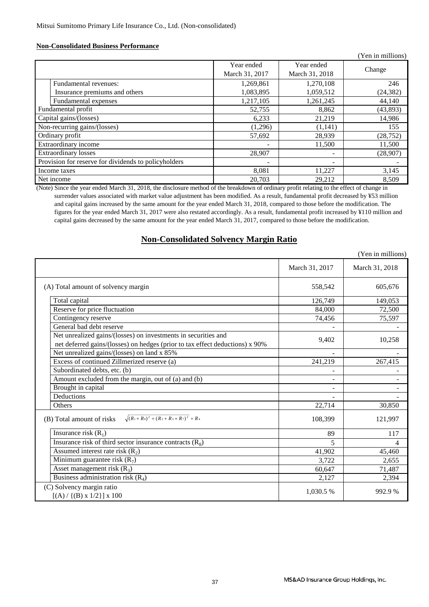### **Non-Consolidated Business Performance**

|                                                      |                |                          | (Yen in millions) |
|------------------------------------------------------|----------------|--------------------------|-------------------|
|                                                      | Year ended     | Year ended               | Change            |
|                                                      | March 31, 2017 | March 31, 2018           |                   |
| Fundamental revenues:                                | 1,269,861      | 1,270,108                | 246               |
| Insurance premiums and others                        | 1,083,895      | 1,059,512                | (24, 382)         |
| Fundamental expenses                                 | 1,217,105      | 1,261,245                | 44,140            |
| Fundamental profit                                   | 52,755         | 8,862                    | (43, 893)         |
| Capital gains/(losses)                               | 6,233          | 21,219                   | 14,986            |
| Non-recurring gains/(losses)                         | (1,296)        | (1,141)                  | 155               |
| Ordinary profit                                      | 57,692         | 28,939                   | (28, 752)         |
| Extraordinary income                                 |                | 11,500                   | 11,500            |
| <b>Extraordinary losses</b>                          | 28,907         | $\overline{\phantom{a}}$ | (28,907)          |
| Provision for reserve for dividends to policyholders |                |                          |                   |
| Income taxes                                         | 8,081          | 11,227                   | 3,145             |
| Net income                                           | 20,703         | 29,212                   | 8,509             |

(Note) Since the year ended March 31, 2018, the disclosure method of the breakdown of ordinary profit relating to the effect of change in surrender values associated with market value adjustment has been modified. As a result, fundamental profit decreased by ¥53 million and capital gains increased by the same amount for the year ended March 31, 2018, compared to those before the modification. The figures for the year ended March 31, 2017 were also restated accordingly. As a result, fundamental profit increased by ¥110 million and capital gains decreased by the same amount for the year ended March 31, 2017, compared to those before the modification.

### **Non-Consolidated Solvency Margin Ratio**

|                                                                                                                                                |                | (Yen in millions) |
|------------------------------------------------------------------------------------------------------------------------------------------------|----------------|-------------------|
|                                                                                                                                                | March 31, 2017 | March 31, 2018    |
| (A) Total amount of solvency margin                                                                                                            | 558,542        | 605,676           |
| Total capital                                                                                                                                  | 126,749        | 149,053           |
| Reserve for price fluctuation                                                                                                                  | 84,000         | 72,500            |
| Contingency reserve                                                                                                                            | 74,456         | 75,597            |
| General bad debt reserve                                                                                                                       |                |                   |
| Net unrealized gains/(losses) on investments in securities and<br>net deferred gains/(losses) on hedges (prior to tax effect deductions) x 90% | 9,402          | 10,258            |
| Net unrealized gains/(losses) on land x 85%                                                                                                    |                |                   |
| Excess of continued Zillmerized reserve (a)                                                                                                    | 241,219        | 267,415           |
| Subordinated debts, etc. (b)                                                                                                                   |                |                   |
| Amount excluded from the margin, out of (a) and (b)                                                                                            |                |                   |
| Brought in capital                                                                                                                             |                |                   |
| Deductions                                                                                                                                     |                |                   |
| Others                                                                                                                                         | 22,714         | 30,850            |
| $\sqrt{(R_1+R_8)^2+(R_2+R_3+R_7)^2}$ + R <sub>4</sub><br>(B) Total amount of risks                                                             | 108,399        | 121,997           |
| Insurance risk $(R_1)$                                                                                                                         | 89             | 117               |
| Insurance risk of third sector insurance contracts $(R_8)$                                                                                     | 5              | 4                 |
| Assumed interest rate risk $(R_2)$                                                                                                             | 41,902         | 45,460            |
| Minimum guarantee risk $(R_7)$                                                                                                                 | 3,722          | 2,655             |
| Asset management risk $(R_3)$                                                                                                                  | 60,647         | 71,487            |
| Business administration risk $(R_4)$                                                                                                           | 2,127          | 2,394             |
| (C) Solvency margin ratio<br>$[(A) / {(B) x 1/2}] x 100$                                                                                       | 1,030.5 %      | 992.9 %           |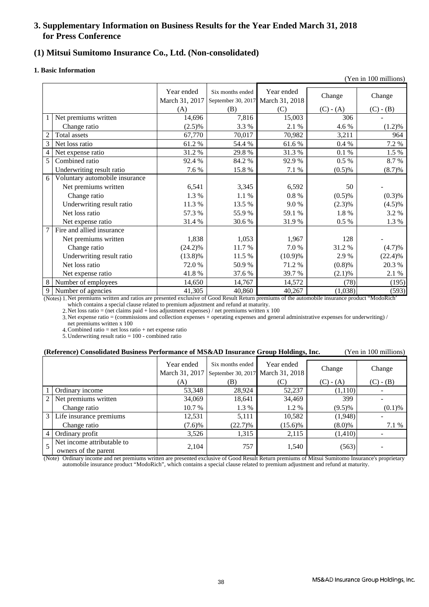### **3. Supplementary Information on Business Results for the Year Ended March 31, 2018 for Press Conference**

### **(1) Mitsui Sumitomo Insurance Co., Ltd. (Non-consolidated)**

### **1. Basic Information**

|   |                                |                              |                                        |                              |             | (Yen in 100 millions) |
|---|--------------------------------|------------------------------|----------------------------------------|------------------------------|-------------|-----------------------|
|   |                                | Year ended<br>March 31, 2017 | Six months ended<br>September 30, 2017 | Year ended<br>March 31, 2018 | Change      | Change                |
|   |                                | (A)                          | (B)                                    | (C)                          | $(C) - (A)$ | $(C) - (B)$           |
|   | Net premiums written           | 14,696                       | 7,816                                  | 15,003                       | 306         |                       |
|   | Change ratio                   | $(2.5)\%$                    | 3.3 %                                  | 2.1 %                        | 4.6%        | $(1.2)\%$             |
|   | Total assets                   | 67,770                       | 70,017                                 | 70,982                       | 3,211       | 964                   |
| 3 | Net loss ratio                 | 61.2%                        | 54.4 %                                 | 61.6%                        | 0.4%        | 7.2 %                 |
| 4 | Net expense ratio              | 31.2%                        | 29.8%                                  | 31.3 %                       | 0.1%        | 1.5 %                 |
| 5 | Combined ratio                 | 92.4 %                       | 84.2%                                  | 92.9%                        | 0.5 %       | 8.7 %                 |
|   | Underwriting result ratio      | 7.6 %                        | 15.8%                                  | 7.1 %                        | (0.5)%      | (8.7)%                |
| 6 | Voluntary automobile insurance |                              |                                        |                              |             |                       |
|   | Net premiums written           | 6,541                        | 3,345                                  | 6,592                        | 50          |                       |
|   | Change ratio                   | 1.3 %                        | 1.1 %                                  | $0.8\ \%$                    | (0.5)%      | (0.3)%                |
|   | Underwriting result ratio      | 11.3 %                       | 13.5 %                                 | 9.0%                         | (2.3)%      | $(4.5)\%$             |
|   | Net loss ratio                 | 57.3 %                       | 55.9%                                  | 59.1 %                       | 1.8%        | 3.2 %                 |
|   | Net expense ratio              | 31.4%                        | 30.6 %                                 | 31.9%                        | 0.5 %       | 1.3 %                 |
| 7 | Fire and allied insurance      |                              |                                        |                              |             |                       |
|   | Net premiums written           | 1,838                        | 1,053                                  | 1,967                        | 128         |                       |
|   | Change ratio                   | $(24.2)\%$                   | 11.7%                                  | 7.0%                         | 31.2 %      | (4.7)%                |
|   | Underwriting result ratio      | $(13.8)\%$                   | 11.5 %                                 | (10.9)%                      | 2.9%        | (22.4)%               |
|   | Net loss ratio                 | 72.0 %                       | 50.9%                                  | 71.2 %                       | (0.8)%      | 20.3 %                |
|   | Net expense ratio              | 41.8%                        | 37.6 %                                 | 39.7%                        | (2.1)%      | 2.1 %                 |
| 8 | Number of employees            | 14,650                       | 14,767                                 | 14,572                       | (78)        | (195)                 |
| 9 | Number of agencies             | 41,305                       | 40,860                                 | 40,267                       | (1,038)     | (593)                 |

(Notes) 1. Net premiums written and ratios are presented exclusive of Good Result Return premiums of the automobile insurance product "ModoRich" which contains a special clause related to premium adjustment and refund at maturity.

2. Net loss ratio = (net claims paid + loss adjustment expenses) / net premiums written x 100

3. Net expense ratio = (commissions and collection expenses + operating expenses and general administrative expenses for underwriting) / net premiums written x 100

4. Combined ratio = net loss ratio + net expense ratio

5. Underwriting result ratio = 100 - combined ratio

### **(Reference) Consolidated Business Performance of MS&AD Insurance Group Holdings, Inc.** (Yen in 100 millions)

|                |                            | Year ended     | Six months ended                  | Year ended | Change      | Change      |
|----------------|----------------------------|----------------|-----------------------------------|------------|-------------|-------------|
|                |                            | March 31, 2017 | September 30, 2017 March 31, 2018 |            |             |             |
|                |                            | (A)            | (B)                               | (C)        | $(C) - (A)$ | $(C) - (B)$ |
|                | Ordinary income            | 53,348         | 28.924                            | 52,237     | (1,110)     |             |
| 2              | Net premiums written       | 34,069         | 18,641                            | 34,469     | 399         |             |
|                | Change ratio               | 10.7 %         | 1.3 %                             | 1.2%       | $(9.5)\%$   | (0.1)%      |
| 3 <sub>1</sub> | Life insurance premiums    | 12,531         | 5,111                             | 10,582     | (1,948)     |             |
|                | Change ratio               | (7.6)%         | $(22.7)\%$                        | $(15.6)\%$ | $(8.0)\%$   | 7.1 %       |
| $\overline{4}$ | Ordinary profit            | 3,526          | 1,315                             | 2,115      | (1,410)     |             |
| 5              | Net income attributable to |                | 757                               |            |             |             |
|                | owners of the parent       | 2,104          |                                   | 1,540      | (563)       |             |

(Note) Ordinary income and net premiums written are presented exclusive of Good Result Return premiums of Mitsui Sumitomo Insurance's proprietary automobile insurance product "ModoRich", which contains a special clause related to premium adjustment and refund at maturity.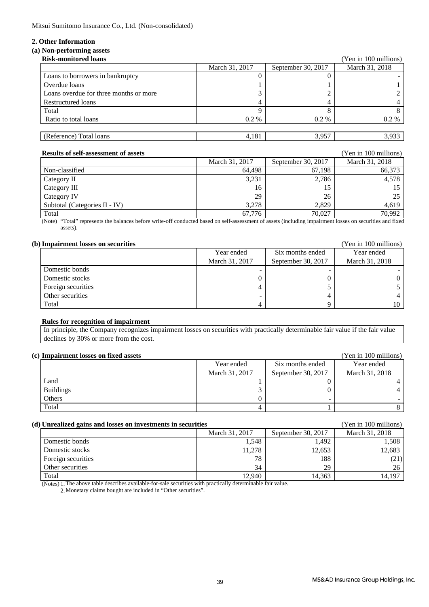Mitsui Sumitomo Insurance Co., Ltd. (Non-consolidated)

### **2. Other Information**

### **(a) Non-performing assets**

| <b>Risk-monitored loans</b>            |                |                    | (Yen in 100 millions) |
|----------------------------------------|----------------|--------------------|-----------------------|
|                                        | March 31, 2017 | September 30, 2017 | March 31, 2018        |
| Loans to borrowers in bankruptcy       |                |                    |                       |
| Overdue loans                          |                |                    |                       |
| Loans overdue for three months or more |                |                    |                       |
| Restructured loans                     |                |                    |                       |
| Total                                  |                |                    |                       |
| Ratio to total loans                   | $0.2\%$        | $0.2\%$            | 0.2 %                 |
|                                        |                |                    |                       |
| (Reference) Total loans                | 4,181          | 3,957              | 3,933                 |

| <b>Results of self-assessment of assets</b> |                |                    | (Yen in 100 millions) |
|---------------------------------------------|----------------|--------------------|-----------------------|
|                                             | March 31, 2017 | September 30, 2017 | March 31, 2018        |
| Non-classified                              | 64.498         | 67,198             | 66,373                |
| Category II                                 | 3,231          | 2.786              | 4,578                 |
| Category III                                | 16             | 15                 | 15                    |
| Category IV                                 | 29             | 26                 | 25                    |
| Subtotal (Categories II - IV)               | 3.278          | 2.829              | 4.619                 |
| Total                                       | 67.776         | 70.027             | 70.992                |

(Note) "Total" represents the balances before write-off conducted based on self-assessment of assets (including impairment losses on securities and fixed assets).

### **(b) Impairment losses on securities** (Yen in 100 millions)

| AMMUMMAA MACAAL AQOOCO QAA DUUUMA ADACO |                |                    | - --- --- - - - ------- --- |
|-----------------------------------------|----------------|--------------------|-----------------------------|
|                                         | Year ended     | Six months ended   | Year ended                  |
|                                         | March 31, 2017 | September 30, 2017 | March 31, 2018              |
| Domestic bonds                          |                |                    |                             |
| Domestic stocks                         |                |                    |                             |
| Foreign securities                      |                |                    |                             |
| Other securities                        |                |                    |                             |
| Total                                   |                |                    |                             |

### **Rules for recognition of impairment**

 In principle, the Company recognizes impairment losses on securities with practically determinable fair value if the fair value declines by 30% or more from the cost.

| (c) Impairment losses on fixed assets |                |                    | (Yen in 100 millions) |
|---------------------------------------|----------------|--------------------|-----------------------|
|                                       | Year ended     | Six months ended   | Year ended            |
|                                       | March 31, 2017 | September 30, 2017 | March 31, 2018        |
| Land                                  |                |                    |                       |
| <b>Buildings</b>                      |                |                    |                       |
| Others                                |                |                    |                       |
| Total                                 |                |                    |                       |

### **(d) Unrealized gains and losses on investments in securities** (Yen in 100 millions)

| Can camped gains and rosses on in resultants in securities |                |                    |                |
|------------------------------------------------------------|----------------|--------------------|----------------|
|                                                            | March 31, 2017 | September 30, 2017 | March 31, 2018 |
| Domestic bonds                                             | 1,548          | 1,492              | 1.508          |
| Domestic stocks                                            | 11,278         | 12,653             | 12,683         |
| Foreign securities                                         | 78             | 188                | (21)           |
| Other securities                                           | 34             | 29                 | 26             |
| Total                                                      | 12,940         | 14,363             | 14,197         |

(Notes) 1. The above table describes available-for-sale securities with practically determinable fair value.

2. Monetary claims bought are included in "Other securities".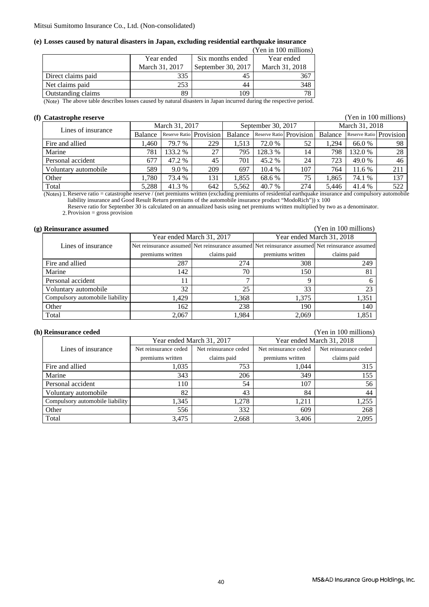## **(e) Losses caused by natural disasters in Japan, excluding residential earthquake insurance**

|                    |                |                                             | (Yen in 100 millions) |
|--------------------|----------------|---------------------------------------------|-----------------------|
|                    | Year ended     | Six months ended                            | Year ended            |
|                    | March 31, 2017 | September 30, 2017                          | March 31, 2018        |
| Direct claims paid | 335            |                                             | 367                   |
| Net claims paid    | 253            | 44                                          | 348                   |
| Outstanding claims | 89             | 109                                         | 78                    |
| $^{\bullet}$       | $\blacksquare$ | $\cdots$<br>the contract of the contract of | $\sim$ 1.10 $\sim$    |

(Note) The above table describes losses caused by natural disasters in Japan incurred during the respective period.

### **(f) Catastrophe reserve** (Yen in 100 millions)

| Lines of insurance   | March 31, 2017 |                         | September 30, 2017 |         |         | March 31, 2018          |         |                         |     |
|----------------------|----------------|-------------------------|--------------------|---------|---------|-------------------------|---------|-------------------------|-----|
|                      | Balance        | Reserve Ratio Provision |                    | Balance |         | Reserve Ratio Provision | Balance | Reserve Ratio Provision |     |
| Fire and allied      | .460           | 79.7 %                  | 229                | 1.513   | 72.0 %  | 52                      | .294    | 66.0 %                  | 98  |
| Marine               | 781            | 133.2 %                 | 27                 | 795     | 128.3 % | 14                      | 798     | 132.0 %                 | 28  |
| Personal accident    | 677            | 47.2 %                  | 45                 | 701     | 45.2 %  | 24                      | 723     | 49.0 %                  | 46  |
| Voluntary automobile | 589            | 9.0 %                   | 209                | 697     | 10.4%   | 107                     | 764     | 11.6 %                  | 211 |
| Other                | .780           | 73.4 %                  | 131                | 1.855   | 68.6 %  | 75                      | .865    | 74.1 %                  | 137 |
| Total                | 5.288          | 41.3 %                  | 642                | 5.562   | 40.7 %  | 274                     | 5.446   | 41.4 %                  | 522 |

(Notes) 1. Reserve ratio = catastrophe reserve / (net premiums written (excluding premiums of residential earthquake insurance and compulsory automobile liability insurance and Good Result Return premiums of the automobile insurance product "ModoRich")) x 100

Reserve ratio for September 30 is calculated on an annualized basis using net premiums written multiplied by two as a denominator.

2. Provision = gross provision

### **(g) Reinsurance assumed** (Yen in 100 millions)

|                                 |                  | Year ended March 31, 2017 | Year ended March 31, 2018 |                                                                                                 |  |
|---------------------------------|------------------|---------------------------|---------------------------|-------------------------------------------------------------------------------------------------|--|
| Lines of insurance              |                  |                           |                           | Net reinsurance assumed Net reinsurance assumed Net reinsurance assumed Net reinsurance assumed |  |
|                                 | premiums written | claims paid               | premiums written          | claims paid                                                                                     |  |
| Fire and allied                 | 287              | 274                       | 308                       | 249                                                                                             |  |
| Marine                          | 142              | 70                        | 150                       | 81                                                                                              |  |
| Personal accident               |                  | –                         |                           |                                                                                                 |  |
| Voluntary automobile            | 32               | 25                        | 33                        | 23                                                                                              |  |
| Compulsory automobile liability | 1,429            | 1,368                     | 1.375                     | 1.351                                                                                           |  |
| Other                           | 162              | 238                       | 190                       | 140                                                                                             |  |
| Total                           | 2,067            | 1.984                     | 2.069                     | 1,851                                                                                           |  |

#### **(h) Reinsurance ceded** (Yen in 100 millions)

|                                 |                       | Year ended March 31, 2017 | Year ended March 31, 2018 |                       |  |
|---------------------------------|-----------------------|---------------------------|---------------------------|-----------------------|--|
| Lines of insurance              | Net reinsurance ceded | Net reinsurance ceded     | Net reinsurance ceded     | Net reinsurance ceded |  |
|                                 | premiums written      | claims paid               | premiums written          | claims paid           |  |
| Fire and allied                 | 1,035                 | 753                       | 1.044                     | 315                   |  |
| Marine                          | 343                   | 206                       | 349                       | 155                   |  |
| Personal accident               | 110                   | 54                        | 107                       | 56                    |  |
| Voluntary automobile            | 82                    | 43                        | 84                        | 44                    |  |
| Compulsory automobile liability | 1,345                 | 1,278                     | 1,211                     | 1,255                 |  |
| Other                           | 556                   | 332                       | 609                       | 268                   |  |
| Total                           | 3,475                 | 2,668                     | 3,406                     | 2,095                 |  |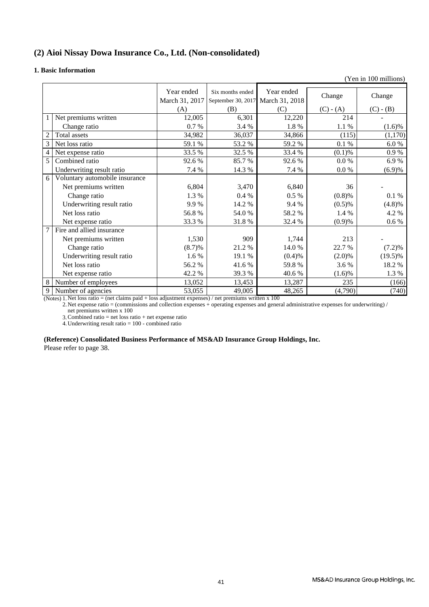### **(2) Aioi Nissay Dowa Insurance Co., Ltd. (Non-consolidated)**

### **1. Basic Information**

|   |                                |                              |                  |                                                 |             | $1 \text{cm}$ and $1 \text{cm}$ and $\mu$ |
|---|--------------------------------|------------------------------|------------------|-------------------------------------------------|-------------|-------------------------------------------|
|   |                                | Year ended<br>March 31, 2017 | Six months ended | Year ended<br>September 30, 2017 March 31, 2018 | Change      | Change                                    |
|   |                                | (A)                          | (B)              | (C)                                             | $(C) - (A)$ | $(C) - (B)$                               |
|   | Net premiums written           | 12,005                       | 6,301            | 12,220                                          | 214         |                                           |
|   | Change ratio                   | 0.7%                         | 3.4 %            | 1.8 %                                           | 1.1 %       | $(1.6)\%$                                 |
|   | Total assets                   | 34,982                       | 36,037           | 34,866                                          | (115)       | (1,170)                                   |
| 3 | Net loss ratio                 | 59.1 %                       | 53.2 %           | 59.2 %                                          | 0.1%        | 6.0%                                      |
| 4 | Net expense ratio              | 33.5 %                       | 32.5 %           | 33.4 %                                          | (0.1)%      | 0.9%                                      |
| 5 | Combined ratio                 | 92.6%                        | 85.7 %           | 92.6 %                                          | $0.0\%$     | 6.9%                                      |
|   | Underwriting result ratio      | 7.4 %                        | 14.3 %           | 7.4 %                                           | $0.0\ \%$   | (6.9)%                                    |
| 6 | Voluntary automobile insurance |                              |                  |                                                 |             |                                           |
|   | Net premiums written           | 6,804                        | 3,470            | 6,840                                           | 36          |                                           |
|   | Change ratio                   | 1.3 %                        | 0.4%             | $0.5\%$                                         | (0.8)%      | 0.1 %                                     |
|   | Underwriting result ratio      | 9.9%                         | 14.2 %           | 9.4 %                                           | $(0.5)$ %   | (4.8)%                                    |
|   | Net loss ratio                 | 56.8%                        | 54.0 %           | 58.2%                                           | 1.4 %       | 4.2 %                                     |
|   | Net expense ratio              | 33.3%                        | 31.8%            | 32.4 %                                          | (0.9)%      | 0.6%                                      |
| 7 | Fire and allied insurance      |                              |                  |                                                 |             |                                           |
|   | Net premiums written           | 1,530                        | 909              | 1,744                                           | 213         |                                           |
|   | Change ratio                   | (8.7)%                       | 21.2%            | 14.0 %                                          | 22.7 %      | (7.2)%                                    |
|   | Underwriting result ratio      | 1.6 %                        | 19.1 %           | (0.4)%                                          | (2.0)%      | $(19.5)\%$                                |
|   | Net loss ratio                 | 56.2%                        | 41.6%            | 59.8%                                           | 3.6 %       | 18.2%                                     |
|   | Net expense ratio              | 42.2 %                       | 39.3%            | 40.6%                                           | (1.6)%      | 1.3 %                                     |
| 8 | Number of employees            | 13,052                       | 13,453           | 13,287                                          | 235         | (166)                                     |
| 9 | Number of agencies             | 53,055                       | 49,005           | 48,265                                          | (4,790)     | (740)                                     |

(Notes) 1. Net loss ratio = (net claims paid + loss adjustment expenses) / net premiums written x 100

2. net premiums written x 100 Net expense ratio = (commissions and collection expenses + operating expenses and general administrative expenses for underwriting) /

3. Combined ratio  $=$  net loss ratio  $+$  net expense ratio

4. Underwriting result ratio  $= 100$  - combined ratio

### **(Reference) Consolidated Business Performance of MS&AD Insurance Group Holdings, Inc.**

Please refer to page 38.

(Yen in 100 millions)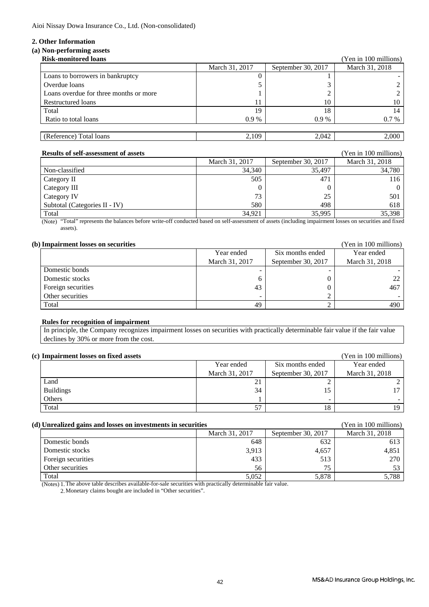Aioi Nissay Dowa Insurance Co., Ltd. (Non-consolidated)

### **2. Other Information**

### **(a) Non-performing assets**

| <b>Risk-monitored loans</b>            |                |                    | (Yen in 100 millions) |
|----------------------------------------|----------------|--------------------|-----------------------|
|                                        | March 31, 2017 | September 30, 2017 | March 31, 2018        |
| Loans to borrowers in bankruptcy       |                |                    |                       |
| Overdue loans                          |                |                    |                       |
| Loans overdue for three months or more |                |                    |                       |
| Restructured loans                     |                | 10                 | 10                    |
| Total                                  | 19             | 18                 | 14                    |
| Ratio to total loans                   | $0.9\%$        | $0.9\%$            | 0.7 %                 |
|                                        |                |                    |                       |
| (Reference) Total loans                | 2,109          | 2,042              | 2,000                 |

| <b>Results of self-assessment of assets</b> |                |                    | (Yen in 100 millions) |
|---------------------------------------------|----------------|--------------------|-----------------------|
|                                             | March 31, 2017 | September 30, 2017 | March 31, 2018        |
| Non-classified                              | 34,340         | 35.497             | 34.780                |
| Category II                                 | 505            | 471                | 116                   |
| Category III                                |                |                    | $\Omega$              |
| Category IV                                 | 73             | 25                 | 501                   |
| Subtotal (Categories II - IV)               | 580            | 498                | 618                   |
| Total                                       | 34,921         | 35,995             | 35,398                |

(Note) "Total" represents the balances before write-off conducted based on self-assessment of assets (including impairment losses on securities and fixed assets).

|  |  |  |  |  | (b) Impairment losses on securities |
|--|--|--|--|--|-------------------------------------|
|--|--|--|--|--|-------------------------------------|

| <b>Impairment losses on securities</b> |                |                    | (Yen in 100 millions) |
|----------------------------------------|----------------|--------------------|-----------------------|
|                                        | Year ended     | Six months ended   | Year ended            |
|                                        | March 31, 2017 | September 30, 2017 | March 31, 2018        |
| Domestic bonds                         |                |                    |                       |
| Domestic stocks                        |                |                    | 22                    |
| Foreign securities                     | 43             |                    | 467                   |
| Other securities                       |                |                    |                       |
| Total                                  | 49             |                    | 490                   |

### **Rules for recognition of impairment**

 declines by 30% or more from the cost. In principle, the Company recognizes impairment losses on securities with practically determinable fair value if the fair value

|  | (c) Impairment losses on fixed assets |
|--|---------------------------------------|
|--|---------------------------------------|

| <b>Impairment losses on fixed assets</b> |                |                    | (Yen in 100 millions) |
|------------------------------------------|----------------|--------------------|-----------------------|
|                                          | Year ended     | Six months ended   | Year ended            |
|                                          | March 31, 2017 | September 30, 2017 | March 31, 2018        |
| Land                                     | 21             |                    |                       |
| <b>Buildings</b>                         | 34             |                    | 17                    |
| Others                                   |                |                    |                       |
| Total                                    |                |                    | 19                    |

### **(d) Unrealized gains and losses on investments in securities** (Yen in 100 millions)

| Can camped gains and rosses on in resultance in securities |                |                    |                |
|------------------------------------------------------------|----------------|--------------------|----------------|
|                                                            | March 31, 2017 | September 30, 2017 | March 31, 2018 |
| Domestic bonds                                             | 648            | 632                | 613            |
| Domestic stocks                                            | 3,913          | 4,657              | 4,851          |
| Foreign securities                                         | 433            | 513                | 270            |
| Other securities                                           | 56             | 75                 | 53             |
| Total                                                      | 5,052          | 5,878              | 5,788          |

(Notes) 1. The above table describes available-for-sale securities with practically determinable fair value.

2. Monetary claims bought are included in "Other securities".